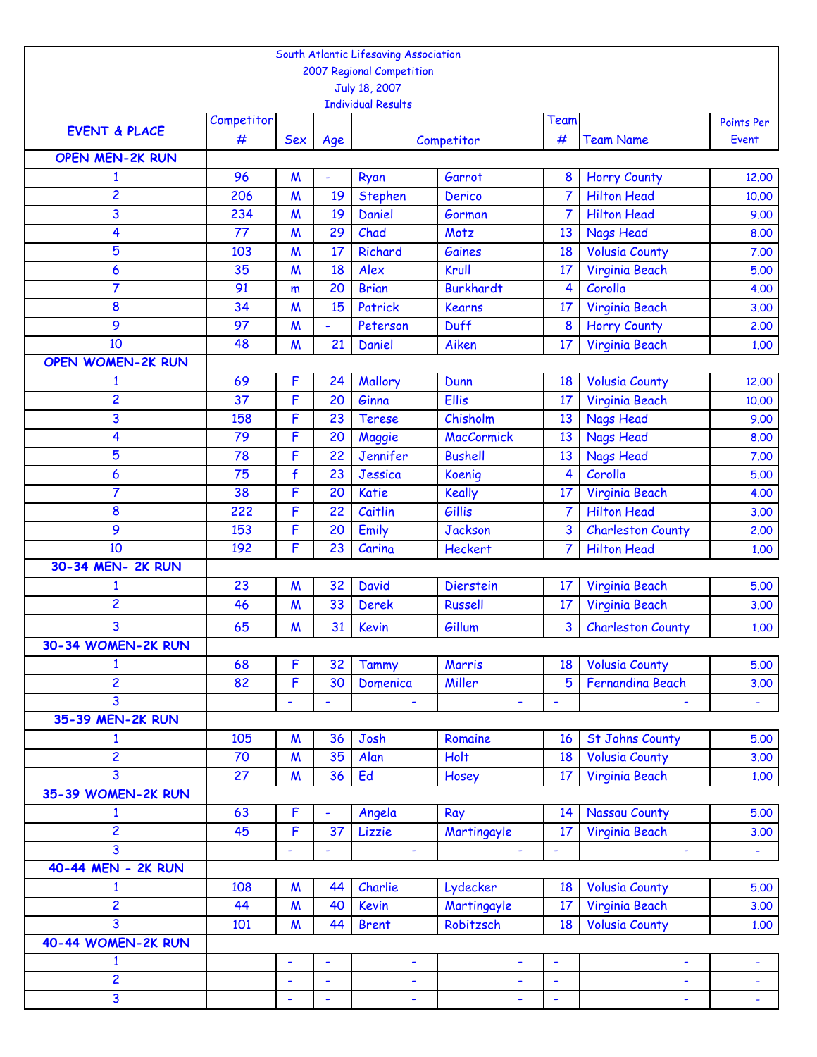|                          |            |                          |                | South Atlantic Lifesaving Association |                   |                          |                          |                  |
|--------------------------|------------|--------------------------|----------------|---------------------------------------|-------------------|--------------------------|--------------------------|------------------|
|                          |            |                          |                | 2007 Regional Competition             |                   |                          |                          |                  |
|                          |            |                          |                | July 18, 2007                         |                   |                          |                          |                  |
|                          |            |                          |                | <b>Individual Results</b>             |                   |                          |                          |                  |
| <b>EVENT &amp; PLACE</b> | Competitor |                          |                |                                       |                   | Team                     |                          | Points Per       |
|                          | #          | <b>Sex</b>               | Age            |                                       | Competitor        | #                        | <b>Team Name</b>         | Event            |
| <b>OPEN MEN-2K RUN</b>   |            |                          |                |                                       |                   |                          |                          |                  |
| $\mathbf{1}$             | 96         | M                        | ÷              | Ryan                                  | Garrot            | 8                        | <b>Horry County</b>      | 12.00            |
| 2                        | 206        | $\mathsf{M}$             | 19             | Stephen                               | Derico            | $\overline{7}$           | <b>Hilton Head</b>       | 10.00            |
| 3                        | 234        | $\boldsymbol{M}$         | 19             | Daniel                                | Gorman            | 7                        | <b>Hilton Head</b>       | 9.00             |
| 4                        | 77         | $\boldsymbol{M}$         | 29             | Chad                                  | Motz              | 13                       | <b>Nags Head</b>         | 8.00             |
| 5                        | 103        | $\boldsymbol{M}$         | 17             | Richard                               | Gaines            | 18                       | <b>Volusia County</b>    | 7.00             |
| 6                        | 35         | $\boldsymbol{M}$         | 18             | Alex                                  | Krull             | 17                       | Virginia Beach           | 5.00             |
| 7                        | 91         | m                        | 20             | <b>Brian</b>                          | <b>Burkhardt</b>  | $\overline{\mathbf{4}}$  | Corolla                  | 4.00             |
| 8                        | 34         | $\boldsymbol{M}$         | 15             | Patrick                               | <b>Kearns</b>     | 17                       | Virginia Beach           | 3.00             |
| 9                        | 97         | $\boldsymbol{M}$         | L,             | Peterson                              | <b>Duff</b>       | 8                        | <b>Horry County</b>      | 2.00             |
| 10                       | 48         | $\boldsymbol{M}$         | 21             | Daniel                                | Aiken             | 17 <sup>2</sup>          | Virginia Beach           | 1.00             |
| <b>OPEN WOMEN-2K RUN</b> |            |                          |                |                                       |                   |                          |                          |                  |
| $\mathbf{1}$             | 69         | F                        | 24             | Mallory                               | Dunn              | 18                       | <b>Volusia County</b>    | 12,00            |
| 2                        | 37         | F                        | 20             | Ginna                                 | Ellis             | 17                       | Virginia Beach           | 10,00            |
| 3                        | 158        | F                        | 23             | <b>Terese</b>                         | Chisholm          | 13                       | <b>Nags Head</b>         | 9.00             |
| 4                        | 79         | F                        | 20             | Maggie                                | <b>MacCormick</b> | 13                       | <b>Nags Head</b>         | 8.00             |
| 5                        | 78         | F                        | 22             | Jennifer                              | <b>Bushell</b>    | 13                       | <b>Nags Head</b>         | 7.00             |
| 6                        | 75         | $\mathbf{f}$             | 23             | Jessica                               | Koenig            | $\overline{4}$           | Corolla                  | 5.00             |
| 7                        | 38         | F                        | 20             | <b>Katie</b>                          | <b>Keally</b>     | 17                       | Virginia Beach           | 4.00             |
| 8                        | 222        | F                        | 22             | Caitlin                               | Gillis            | 7                        | <b>Hilton Head</b>       | 3.00             |
| 9                        | 153        | F                        | 20             | Emily                                 | <b>Jackson</b>    | 3                        | <b>Charleston County</b> | 2.00             |
| 10                       | 192        | F                        | 23             | Carina                                | <b>Heckert</b>    | $\overline{7}$           | <b>Hilton Head</b>       | 1,00             |
| 30-34 MEN- 2K RUN        |            |                          |                |                                       |                   |                          |                          |                  |
| $\mathbf{1}$             | 23         | $\boldsymbol{M}$         | 32             | <b>David</b>                          | <b>Dierstein</b>  | 17                       | Virginia Beach           | 5.00             |
| 2                        | 46         | $\mathsf{M}$             | 33             | <b>Derek</b>                          | <b>Russell</b>    | 17                       | Virginia Beach           | 3.00             |
| 3                        | 65         | $\boldsymbol{M}$         | 31             | <b>Kevin</b>                          | Gillum            | 3                        | <b>Charleston County</b> | 1.00             |
| 30-34 WOMEN-2K RUN       |            |                          |                |                                       |                   |                          |                          |                  |
| $\mathbf{1}$             | 68         | F                        | 32             | Tammy                                 | Marris            | 18                       | <b>Volusia County</b>    | 5.00             |
| $\overline{2}$           | 82         | F                        | 30             | Domenica                              | Miller            | 5                        | Fernandina Beach         | 3.00             |
| 3                        |            |                          |                |                                       |                   |                          |                          |                  |
| 35-39 MEN-2K RUN         |            |                          |                |                                       |                   |                          |                          |                  |
| $\mathbf{1}$             | 105        | $\boldsymbol{M}$         | 36             | Josh                                  | Romaine           | 16                       | <b>St Johns County</b>   | 5.00             |
| $\overline{c}$           | 70         | $\boldsymbol{M}$         | 35             | Alan                                  | <b>Holt</b>       | 18                       | <b>Volusia County</b>    | 3.00             |
| 3                        | 27         | $\boldsymbol{M}$         | 36             | Ed                                    | Hosey             | 17                       | Virginia Beach           | 1.00             |
| 35-39 WOMEN-2K RUN       |            |                          |                |                                       |                   |                          |                          |                  |
| 1                        | 63         | F                        |                | Angela                                | Ray               | 14                       | <b>Nassau County</b>     | 5.00             |
| 2                        | 45         | F                        | 37             | Lizzie                                | Martingayle       | 17                       | Virginia Beach           | 3.00             |
| 3                        |            | L,                       | ÷,             |                                       |                   | $\overline{\phantom{a}}$ | ÷                        | $\omega_{\rm c}$ |
| 40-44 MEN - 2K RUN       |            |                          |                |                                       |                   |                          |                          |                  |
| $\mathbf{1}$             | 108        | M                        | 44             | Charlie                               | Lydecker          | 18                       | <b>Volusia County</b>    | 5.00             |
| 2                        | 44         | $\boldsymbol{M}$         | 40             | <b>Kevin</b>                          | Martingayle       | 17                       | Virginia Beach           | 3.00             |
| 3                        | 101        | $\boldsymbol{M}$         | 44             | <b>Brent</b>                          | Robitzsch         | 18                       | <b>Volusia County</b>    | 1.00             |
| 40-44 WOMEN-2K RUN       |            |                          |                |                                       |                   |                          |                          |                  |
| $\mathbf{1}$             |            | $\overline{\phantom{a}}$ | $\blacksquare$ | $\overline{\phantom{a}}$              | ۰                 | $\tilde{\phantom{a}}$    | $\blacksquare$           |                  |
| 2                        |            | $\blacksquare$           | ÷,             | ٠                                     | ÷                 | $\blacksquare$           |                          |                  |
| $\overline{\mathbf{3}}$  |            | $\blacksquare$           | ÷              | $\overline{\phantom{a}}$              | ÷,                | $\blacksquare$           | ÷                        |                  |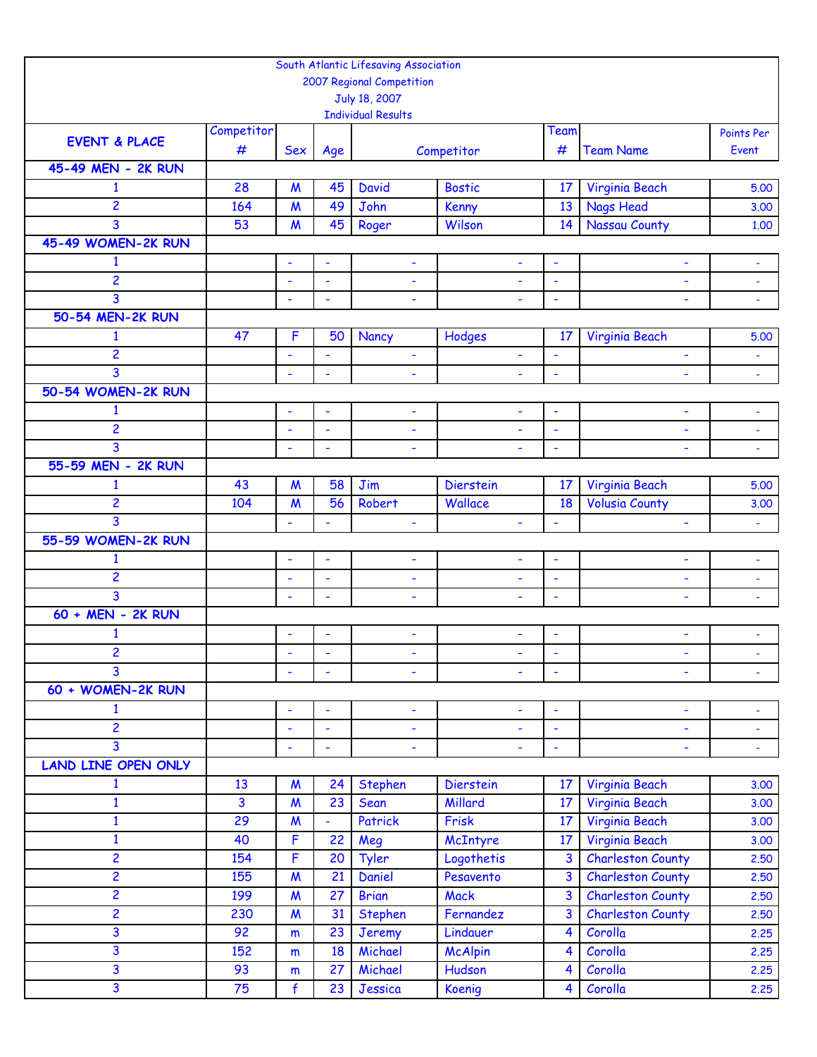|                                    |                         |                          |                          | South Atlantic Lifesaving Association      |                               |                                                      |                          |                          |
|------------------------------------|-------------------------|--------------------------|--------------------------|--------------------------------------------|-------------------------------|------------------------------------------------------|--------------------------|--------------------------|
|                                    |                         |                          |                          | 2007 Regional Competition                  |                               |                                                      |                          |                          |
|                                    |                         |                          |                          | July 18, 2007<br><b>Individual Results</b> |                               |                                                      |                          |                          |
|                                    | Competitor              |                          |                          |                                            |                               | Team                                                 |                          | Points Per               |
| <b>EVENT &amp; PLACE</b>           | #                       | Sex                      | Age                      |                                            | Competitor                    | #                                                    | <b>Team Name</b>         | Event                    |
| 45-49 MEN - 2K RUN                 |                         |                          |                          |                                            |                               |                                                      |                          |                          |
| $\mathbf{1}$                       | 28                      | $\boldsymbol{M}$         | 45                       | <b>David</b>                               | <b>Bostic</b>                 | 17                                                   | Virginia Beach           | 5.00                     |
| $\overline{2}$                     | 164                     | $\mathsf{M}$             | 49                       | John                                       | Kenny                         | 13                                                   | <b>Nags Head</b>         | 3.00                     |
| 3                                  | 53                      | $\boldsymbol{M}$         | 45                       | Roger                                      | Wilson                        | 14                                                   | <b>Nassau County</b>     | 1.00                     |
| 45-49 WOMEN-2K RUN                 |                         |                          |                          |                                            |                               |                                                      |                          |                          |
| $\mathbf{1}$                       |                         | $\overline{\phantom{a}}$ | $\overline{\phantom{a}}$ | $\overline{\phantom{a}}$                   | $\blacksquare$                | $\overline{\phantom{a}}$                             | ÷,                       |                          |
| $\overline{c}$                     |                         | ٠                        | ÷,                       | ÷                                          | ÷                             | $\overline{\phantom{a}}$                             | ÷,                       | $\blacksquare$           |
| 3                                  |                         | $\blacksquare$           | $\overline{\phantom{a}}$ | $\overline{\phantom{a}}$                   |                               | $\blacksquare$                                       | ÷,                       | $\overline{\phantom{a}}$ |
| 50-54 MEN-2K RUN                   |                         |                          |                          |                                            |                               |                                                      |                          |                          |
| $\mathbf{1}$                       | 47                      | F                        | 50                       | Nancy                                      | Hodges                        | 17                                                   | Virginia Beach           | 5.00                     |
| $\overline{c}$                     |                         | ÷                        | ÷,                       | $\overline{\phantom{a}}$                   | ÷,                            | $\overline{\phantom{a}}$                             | ٠                        | $\blacksquare$           |
| 3                                  |                         | $\overline{\phantom{a}}$ | $\blacksquare$           | $\overline{\phantom{a}}$                   | $\blacksquare$                | $\overline{\phantom{a}}$                             | ÷,                       | $\blacksquare$           |
| 50-54 WOMEN-2K RUN                 |                         |                          |                          |                                            |                               |                                                      |                          |                          |
| $\mathbf{1}$                       |                         | $\blacksquare$           | ÷,                       | $\overline{\phantom{a}}$                   | $\blacksquare$                | $\blacksquare$                                       | ٠                        | $\overline{\phantom{a}}$ |
| $\overline{2}$                     |                         | ÷,                       | Ĭ.                       | $\blacksquare$                             | $\blacksquare$                | $\blacksquare$                                       | ÷,                       | $\ddot{\phantom{1}}$     |
| 3                                  |                         | $\overline{\phantom{a}}$ | $\overline{\phantom{a}}$ |                                            |                               |                                                      | L.                       |                          |
| 55-59 MEN - 2K RUN                 |                         |                          |                          |                                            |                               |                                                      |                          |                          |
| $\mathbf{1}$                       | 43                      | $\boldsymbol{M}$         | 58                       | Jim                                        | <b>Dierstein</b>              | 17                                                   | Virginia Beach           | 5.00                     |
| $\overline{2}$                     | 104                     | $\boldsymbol{M}$         | 56                       | Robert                                     | Wallace                       | 18                                                   | <b>Volusia County</b>    | 3.00                     |
| 3                                  |                         | ÷,                       | ٠                        | $\blacksquare$                             | $\blacksquare$                | $\overline{\phantom{a}}$                             | ÷,                       | $\blacksquare$           |
| 55-59 WOMEN-2K RUN<br>$\mathbf{1}$ |                         |                          |                          |                                            |                               |                                                      | ÷,                       |                          |
| $\overline{c}$                     |                         | ÷,                       | $\overline{\phantom{a}}$ | $\blacksquare$                             | ۰                             | $\overline{\phantom{a}}$                             |                          |                          |
| 3                                  |                         | ٠<br>÷,                  | ÷,<br>$\blacksquare$     | ٠<br>$\overline{\phantom{a}}$              | ۰<br>$\overline{\phantom{a}}$ | $\overline{\phantom{a}}$<br>$\overline{\phantom{a}}$ | ÷<br>÷,                  | ÷<br>$\blacksquare$      |
| 60 + MEN - 2K RUN                  |                         |                          |                          |                                            |                               |                                                      |                          |                          |
| 1                                  |                         | $\overline{\phantom{a}}$ | $\overline{\phantom{a}}$ | $\overline{\phantom{a}}$                   | ۰                             | $\blacksquare$                                       | ۰                        | ÷                        |
| $\overline{c}$                     |                         |                          |                          |                                            |                               |                                                      |                          |                          |
| 3                                  |                         |                          |                          |                                            |                               |                                                      |                          |                          |
| 60 + WOMEN-2K RUN                  |                         |                          |                          |                                            |                               |                                                      |                          |                          |
| $\mathbf{1}$                       |                         | $\blacksquare$           | $\overline{\phantom{a}}$ | $\blacksquare$                             | ٠                             | $\overline{\phantom{a}}$                             | ÷,                       |                          |
| $\overline{2}$                     |                         | $\overline{\phantom{a}}$ | $\blacksquare$           | $\blacksquare$                             | $\blacksquare$                |                                                      |                          | ÷,                       |
| 3                                  |                         | $\blacksquare$           | ÷                        | $\overline{\phantom{a}}$                   | ٠                             | $\blacksquare$                                       | ÷                        | $\blacksquare$           |
| <b>LAND LINE OPEN ONLY</b>         |                         |                          |                          |                                            |                               |                                                      |                          |                          |
| $\mathbf{1}$                       | 13                      | $\boldsymbol{M}$         | 24                       | Stephen                                    | <b>Dierstein</b>              | 17                                                   | Virginia Beach           | 3.00                     |
| $\mathbf{1}$                       | $\overline{\mathbf{3}}$ | $\boldsymbol{M}$         | 23                       | Sean                                       | Millard                       | 17                                                   | Virginia Beach           | 3.00                     |
| $\mathbf{1}$                       | 29                      | $\boldsymbol{M}$         | ÷,                       | Patrick                                    | Frisk                         | 17                                                   | Virginia Beach           | 3.00                     |
| $\mathbf{1}$                       | 40                      | F                        | 22                       | Meg                                        | McIntyre                      | 17 <sup>2</sup>                                      | Virginia Beach           | 3.00                     |
| $\overline{c}$                     | 154                     | F                        | 20                       | Tyler                                      | Logothetis                    | 3                                                    | <b>Charleston County</b> | 2.50                     |
| $\overline{2}$                     | 155                     | $\boldsymbol{M}$         | 21                       | Daniel                                     | Pesavento                     | $\overline{3}$                                       | <b>Charleston County</b> | 2,50                     |
| $\overline{2}$                     | 199                     | $\boldsymbol{M}$         | 27                       | <b>Brian</b>                               | <b>Mack</b>                   | $\overline{3}$                                       | <b>Charleston County</b> | 2,50                     |
| $\overline{c}$                     | 230                     | $\boldsymbol{M}$         | 31                       | Stephen                                    | Fernandez                     | 3                                                    | <b>Charleston County</b> | 2.50                     |
| 3                                  | 92                      | m                        | 23                       | Jeremy                                     | Lindauer                      | $\overline{\mathbf{4}}$                              | Corolla                  | 2.25                     |
| 3                                  | 152                     | m                        | 18                       | Michael                                    | <b>McAlpin</b>                | $\overline{\mathbf{4}}$                              | Corolla                  | 2.25                     |
| 3                                  | 93                      | m                        | 27                       | Michael                                    | Hudson                        | $\overline{\mathbf{4}}$                              | Corolla                  | 2.25                     |
| 3                                  | 75                      | $\mathbf{f}$             | 23                       | Jessica                                    | Koenig                        | $\overline{4}$                                       | Corolla                  | 2.25                     |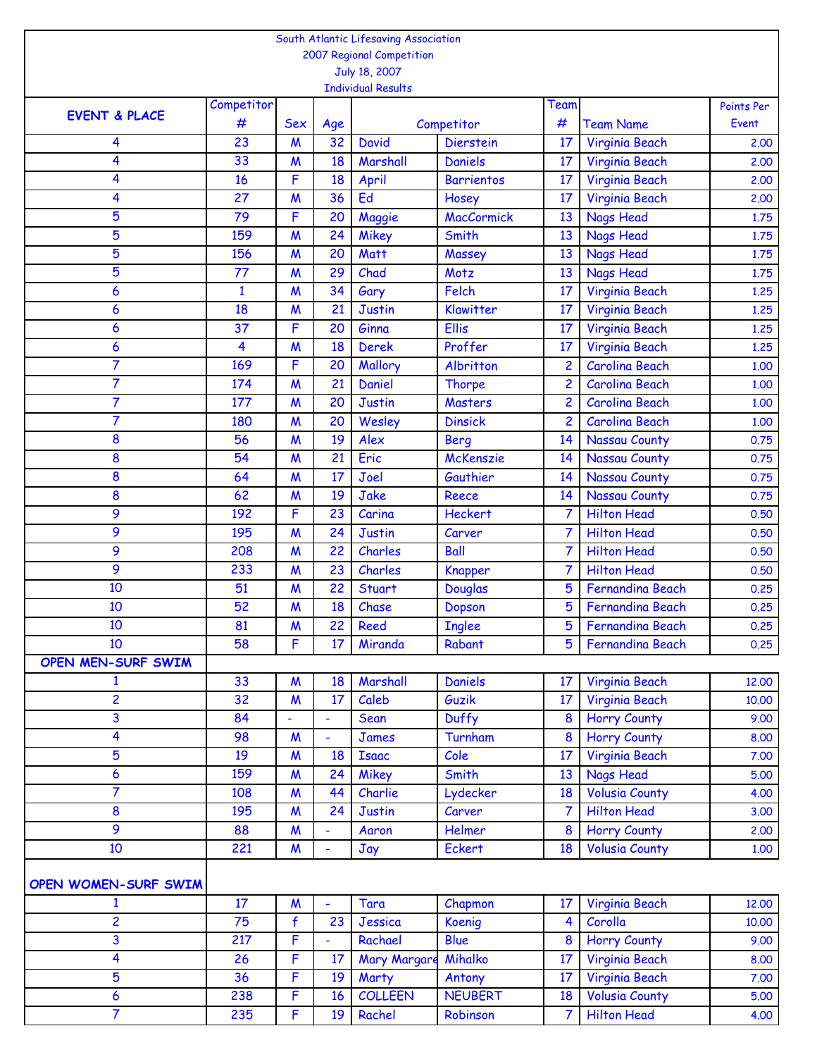|                          |              |                  |                | South Atlantic Lifesaving Association |                           |                |                         |            |
|--------------------------|--------------|------------------|----------------|---------------------------------------|---------------------------|----------------|-------------------------|------------|
|                          |              |                  |                | 2007 Regional Competition             |                           |                |                         |            |
|                          |              |                  |                | July 18, 2007                         |                           |                |                         |            |
|                          |              |                  |                | <b>Individual Results</b>             |                           |                |                         |            |
| <b>EVENT &amp; PLACE</b> | Competitor   |                  |                |                                       |                           | Team           |                         | Points Per |
|                          | #            | <b>Sex</b>       | Age            |                                       | Competitor                | #              | <b>Team Name</b>        | Event      |
| 4                        | 23           | $\boldsymbol{M}$ | 32             | <b>David</b>                          | <b>Dierstein</b>          | 17             | Virginia Beach          | 2.00       |
| 4                        | 33           | $\boldsymbol{M}$ | 18             | Marshall                              | <b>Daniels</b>            | 17             | Virginia Beach          | 2.00       |
| 4                        | 16           | F                | 18             | April                                 | <b>Barrientos</b>         | 17             | Virginia Beach          | 2.00       |
| 4                        | 27           | $\boldsymbol{M}$ | 36             | Ed                                    | Hosey                     | 17             | Virginia Beach          | 2.00       |
| 5                        | 79           | F                | 20             | Maggie                                | <b>MacCormick</b>         | 13             | <b>Nags Head</b>        | 1.75       |
| 5                        | 159          | $\boldsymbol{M}$ | 24             | Mikey                                 | Smith                     | 13             | <b>Nags Head</b>        | 1.75       |
| 5                        | 156          | $\boldsymbol{M}$ | 20             | Matt                                  | Massey                    | 13             | <b>Nags Head</b>        | 1.75       |
| 5                        | 77           | $\boldsymbol{M}$ | 29             | Chad                                  | Motz                      | 13             | <b>Nags Head</b>        | 1.75       |
| 6                        | $\mathbf{1}$ | $\boldsymbol{M}$ | 34             | Gary                                  | Felch                     | 17             | Virginia Beach          | 1.25       |
| 6                        | 18           | $\boldsymbol{M}$ | 21             | <b>Justin</b>                         | Klawitter                 | 17             | Virginia Beach          | 1.25       |
| 6                        | 37           | F                | 20             | Ginna                                 | <b>Ellis</b>              | 17             | Virginia Beach          | 1.25       |
| 6                        | 4            | $\boldsymbol{M}$ | 18             | <b>Derek</b>                          | Proffer                   | 17             | Virginia Beach          | 1.25       |
| $\overline{7}$           | 169          | F                | 20             | Mallory                               | Albritton                 | $\overline{2}$ | <b>Carolina Beach</b>   | 1.00       |
| 7                        | 174          | M                | 21             | Daniel                                | <b>Thorpe</b>             | $\overline{2}$ | <b>Carolina Beach</b>   | 1.00       |
| 7                        | 177          | $\boldsymbol{M}$ | 20             | <b>Justin</b>                         | <b>Masters</b>            | 2              | <b>Carolina Beach</b>   | 1.00       |
| $\overline{7}$           | 180          | $\boldsymbol{M}$ | 20             | Wesley                                | <b>Dinsick</b>            | $\overline{2}$ | <b>Carolina Beach</b>   | 1.00       |
| 8                        | 56           | $\boldsymbol{M}$ | 19             | Alex                                  | <b>Berg</b>               | 14             | <b>Nassau County</b>    | 0.75       |
| 8                        | 54           | $\boldsymbol{M}$ | 21             | Eric                                  | McKenszie                 | 14             | Nassau County           | 0.75       |
| 8                        | 64           | $\boldsymbol{M}$ | 17             | Joel                                  | Gauthier                  | 14             | <b>Nassau County</b>    | 0.75       |
| 8                        | 62           | $\boldsymbol{M}$ | 19             | Jake                                  | Reece                     | 14             | <b>Nassau County</b>    | 0.75       |
| 9                        | 192          | F                | 23             | Carina                                | <b>Heckert</b>            | 7              | <b>Hilton Head</b>      | 0.50       |
| 9                        | 195          | $\boldsymbol{M}$ | 24             | <b>Justin</b>                         | Carver                    | $\mathbf{7}$   | <b>Hilton Head</b>      | 0.50       |
| 9                        | 208          | $\boldsymbol{M}$ | 22             | Charles                               | Ball                      | $\overline{7}$ | <b>Hilton Head</b>      | 0.50       |
| 9                        | 233          | $\boldsymbol{M}$ | 23             | Charles                               |                           | 7              | <b>Hilton Head</b>      | 0.50       |
| 10                       | 51           | M                | 22             | Stuart                                | <b>Knapper</b><br>Douglas | 5              | <b>Fernandina Beach</b> | 0.25       |
| 10                       | 52           | $\boldsymbol{M}$ | 18             | Chase                                 |                           | 5              | <b>Fernandina Beach</b> | 0.25       |
| 10                       | 81           |                  | 22             |                                       | Dopson                    | 5              | <b>Fernandina Beach</b> |            |
| 10                       |              | $\boldsymbol{M}$ |                | Reed<br>Miranda                       | <b>Inglee</b>             |                |                         | 0.25       |
|                          | 58           | F                | 17             |                                       | Rabant                    | 5              | <b>Fernandina Beach</b> | 0.25       |
| OPEN MEN-SURF SWIM       |              |                  |                |                                       |                           |                |                         |            |
| $\mathbf{1}$             | 33           | M                | 18             | Marshall                              | Daniels                   | 17             | Virginia Beach          | 12,00      |
| 2                        | 32           | $\boldsymbol{M}$ | 17             | Caleb                                 | Guzik                     | 17             | Virginia Beach          | 10.00      |
| 3                        | 84           | $\blacksquare$   | ÷,             | Sean                                  | Duffy                     | 8              | <b>Horry County</b>     | 9.00       |
| 4                        | 98           | $\boldsymbol{M}$ | ÷,             | <b>James</b>                          | Turnham                   | 8              | <b>Horry County</b>     | 8.00       |
| 5                        | 19           | $\boldsymbol{M}$ | 18             | <b>Isaac</b>                          | Cole                      | 17             | Virginia Beach          | 7.00       |
| 6                        | 159          | $\boldsymbol{M}$ | 24             | Mikey                                 | Smith                     | 13             | <b>Nags Head</b>        | 5.00       |
| $\overline{7}$           | 108          | $\boldsymbol{M}$ | 44             | Charlie                               | Lydecker                  | 18             | <b>Volusia County</b>   | 4.00       |
| 8                        | 195          | $\boldsymbol{M}$ | 24             | <b>Justin</b>                         | Carver                    | 7              | <b>Hilton Head</b>      | 3.00       |
| 9                        | 88           | $\boldsymbol{M}$ | ۰              | Aaron                                 | Helmer                    | 8              | <b>Horry County</b>     | 2.00       |
| 10                       | 221          | $\boldsymbol{M}$ | ÷,             | Jay                                   | Eckert                    | 18             | <b>Volusia County</b>   | 1.00       |
| OPEN WOMEN-SURF SWIM     |              |                  |                |                                       |                           |                |                         |            |
| $\mathbf{1}$             | 17           | $\boldsymbol{M}$ | $\blacksquare$ | Tara                                  | Chapmon                   | 17             | Virginia Beach          | 12.00      |
| 2                        | 75           | f                | 23             | Jessica                               | <b>Koenig</b>             | 4              | Corolla                 | 10.00      |
| 3                        | 217          | F                | ÷,             | Rachael                               | <b>Blue</b>               | 8              | <b>Horry County</b>     | 9.00       |
| 4                        | 26           | F                | 17             | <b>Mary Margare</b>                   | Mihalko                   | 17             | Virginia Beach          | 8,00       |
| 5                        | 36           | F                | 19             | Marty                                 | Antony                    | 17             | <b>Virginia Beach</b>   | 7.00       |
| 6                        | 238          | F                | 16             | <b>COLLEEN</b>                        | <b>NEUBERT</b>            | 18             | <b>Volusia County</b>   | 5.00       |
| $\overline{7}$           | 235          | F                | 19             | Rachel                                | Robinson                  | $\overline{7}$ | <b>Hilton Head</b>      | 4.00       |
|                          |              |                  |                |                                       |                           |                |                         |            |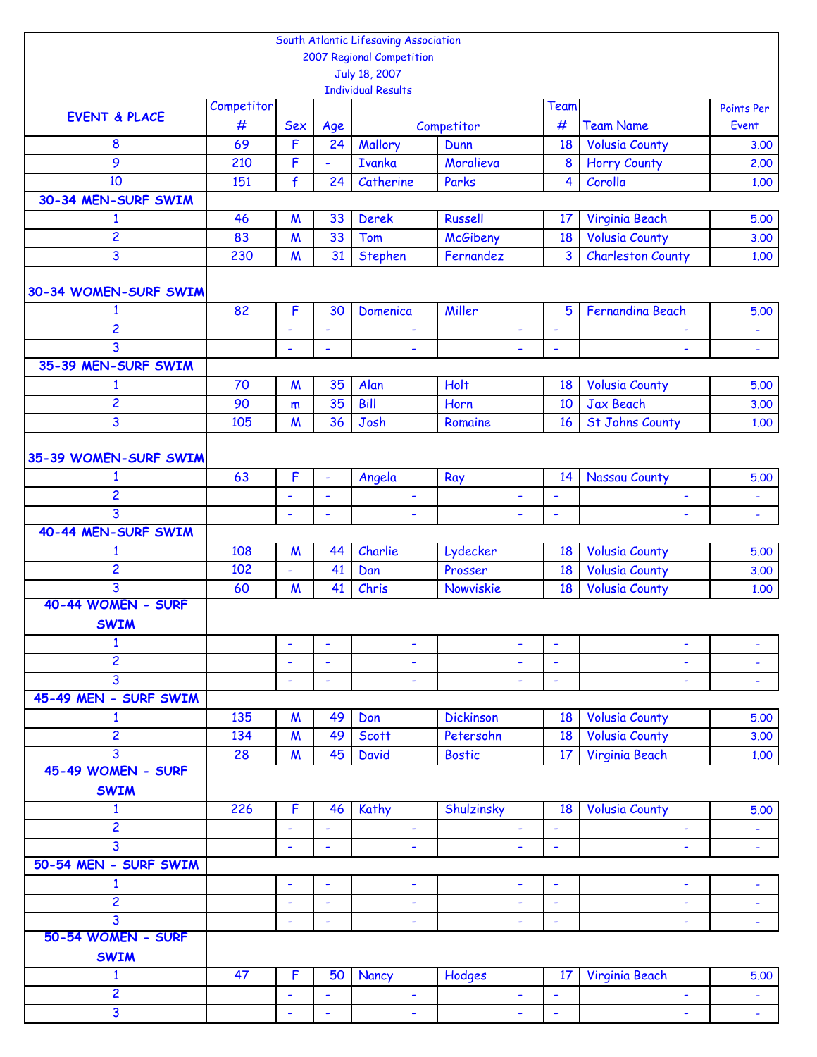|                          |            |                                    |                          | South Atlantic Lifesaving Association |                          |                          |                                                |                     |
|--------------------------|------------|------------------------------------|--------------------------|---------------------------------------|--------------------------|--------------------------|------------------------------------------------|---------------------|
|                          |            |                                    |                          | 2007 Regional Competition             |                          |                          |                                                |                     |
|                          |            |                                    |                          | July 18, 2007                         |                          |                          |                                                |                     |
|                          | Competitor |                                    |                          | <b>Individual Results</b>             |                          | Team                     |                                                |                     |
| <b>EVENT &amp; PLACE</b> | #          | <b>Sex</b>                         | Age                      |                                       | Competitor               | #                        | <b>Team Name</b>                               | Points Per<br>Event |
| 8                        | 69         | F                                  | 24                       | Mallory                               | Dunn                     | 18                       | <b>Volusia County</b>                          | 3.00                |
| 9                        | 210        | F                                  | ÷,                       | <b>Ivanka</b>                         | Moralieva                | $\boldsymbol{8}$         | <b>Horry County</b>                            | 2.00                |
| 10                       | 151        | $\mathbf{f}$                       | 24                       | Catherine                             | Parks                    | 4                        | Corolla                                        | 1.00                |
| 30-34 MEN-SURF SWIM      |            |                                    |                          |                                       |                          |                          |                                                |                     |
| $\mathbf{1}$             | 46         | $\boldsymbol{M}$                   | 33                       | <b>Derek</b>                          | <b>Russell</b>           | 17                       | Virginia Beach                                 | 5.00                |
| 2                        | 83         | $\boldsymbol{M}$                   | 33                       | Tom                                   | <b>McGibeny</b>          | 18                       | <b>Volusia County</b>                          | 3.00                |
| 3                        | 230        | $\boldsymbol{M}$                   | 31                       | Stephen                               | Fernandez                | 3                        | <b>Charleston County</b>                       | 1.00                |
|                          |            |                                    |                          |                                       |                          |                          |                                                |                     |
| 30-34 WOMEN-SURF SWIM    |            |                                    |                          |                                       |                          |                          |                                                |                     |
| $\mathbf{1}$             | 82         | F                                  | 30                       | Domenica                              | Miller                   | 5                        | <b>Fernandina Beach</b>                        | 5.00                |
| 2                        |            | ÷,                                 | ÷,                       | ÷,                                    | ÷,                       | $\overline{\phantom{a}}$ | ÷                                              | ÷                   |
| 3                        |            | $\overline{\phantom{a}}$           | ä,                       | $\overline{\phantom{0}}$              | ÷.                       | ä,                       |                                                | $\blacksquare$      |
| 35-39 MEN-SURF SWIM      |            |                                    |                          |                                       |                          |                          |                                                |                     |
| $\mathbf{1}$             | 70         | $\boldsymbol{M}$                   | 35                       | Alan                                  | <b>Holt</b>              | 18                       | <b>Volusia County</b>                          | 5.00                |
| $\overline{2}$           | 90         | m                                  | 35                       | <b>Bill</b>                           | Horn                     | 10                       | <b>Jax Beach</b>                               | 3.00                |
| 3                        | 105        | $\boldsymbol{M}$                   | 36                       | Josh                                  | Romaine                  | 16                       | <b>St Johns County</b>                         | 1.00                |
|                          |            |                                    |                          |                                       |                          |                          |                                                |                     |
| 35-39 WOMEN-SURF SWIM    |            |                                    |                          |                                       |                          |                          |                                                |                     |
| 1                        | 63         | F                                  | ÷,                       | Angela                                | Ray                      | 14                       | <b>Nassau County</b>                           | 5.00                |
| 2                        |            | ÷,                                 | ÷,                       | ÷                                     | ÷,                       | ٠                        | $\overline{\phantom{a}}$                       | Ξ                   |
| 3                        |            | ÷,                                 | ä,                       | $\overline{\phantom{0}}$              | $\blacksquare$           | $\overline{\phantom{a}}$ | L,                                             | $\blacksquare$      |
| 40-44 MEN-SURF SWIM      |            |                                    |                          |                                       |                          |                          |                                                |                     |
| $\mathbf{1}$             | 108        | $\boldsymbol{M}$                   | 44                       | Charlie                               | Lydecker                 | 18                       | <b>Volusia County</b>                          | 5.00                |
| 2<br>3                   | 102<br>60  | $\blacksquare$<br>$\boldsymbol{M}$ | 41<br>41                 | Dan<br>Chris                          | Prosser<br>Nowviskie     | 18<br>18                 | <b>Volusia County</b><br><b>Volusia County</b> | 3.00                |
| 40-44 WOMEN - SURF       |            |                                    |                          |                                       |                          |                          |                                                | 1.00                |
| <b>SWIM</b>              |            |                                    |                          |                                       |                          |                          |                                                |                     |
| $\mathbf{1}$             |            | ÷,                                 | $\overline{\phantom{a}}$ | ÷                                     | ÷,                       | $\overline{\phantom{a}}$ | ä,                                             | ä,                  |
| $\overline{c}$           |            | ÷,                                 | ÷,                       | ÷,                                    | ÷,                       | ä,                       | ä,                                             | ÷,                  |
| 3                        |            | $\overline{\phantom{a}}$           | ٠                        | ۰                                     | $\overline{\phantom{0}}$ | ٠                        | ÷                                              | $\blacksquare$      |
| 45-49 MEN - SURF SWIM    |            |                                    |                          |                                       |                          |                          |                                                |                     |
| $\mathbf{1}$             | 135        | $\boldsymbol{M}$                   | 49                       | Don                                   | <b>Dickinson</b>         | 18                       | <b>Volusia County</b>                          | 5.00                |
| 2                        | 134        | $\boldsymbol{M}$                   | 49                       | Scott                                 | Petersohn                | 18                       | <b>Volusia County</b>                          | 3.00                |
| 3                        | 28         | $\boldsymbol{M}$                   | 45                       | <b>David</b>                          | <b>Bostic</b>            | 17                       | Virginia Beach                                 | 1.00                |
| 45-49 WOMEN - SURF       |            |                                    |                          |                                       |                          |                          |                                                |                     |
| <b>SWIM</b>              |            |                                    |                          |                                       |                          |                          |                                                |                     |
| $\mathbf{1}$             | 226        | F                                  | 46                       | Kathy                                 | Shulzinsky               | 18                       | <b>Volusia County</b>                          | 5.00                |
| $\overline{c}$           |            | ÷,                                 | ÷,                       | ÷,                                    | $\blacksquare$           | $\blacksquare$           | ÷,                                             | ÷,                  |
| 3                        |            | ÷,                                 | ä,                       |                                       |                          | ä,                       |                                                | $\blacksquare$      |
| 50-54 MEN - SURF SWIM    |            |                                    |                          |                                       |                          |                          |                                                |                     |
| $\mathbf{1}$             |            | ÷,                                 | ÷,                       | ÷                                     | ÷,                       | $\blacksquare$           | ÷,                                             | $\blacksquare$      |
| $\overline{c}$           |            | ä,                                 | $\blacksquare$           | ۰                                     | $\blacksquare$           | $\overline{\phantom{a}}$ | ٠                                              | $\blacksquare$      |
| 3                        |            | ÷                                  | ÷                        | ۰                                     | ÷                        | ٠                        | ۰                                              | $\blacksquare$      |
| 50-54 WOMEN - SURF       |            |                                    |                          |                                       |                          |                          |                                                |                     |
| <b>SWIM</b>              |            |                                    |                          |                                       |                          |                          |                                                |                     |
| $\mathbf{1}$             | 47         | F                                  | 50                       | Nancy                                 | Hodges                   | 17                       | Virginia Beach                                 | 5.00                |
| 2                        |            | ÷,                                 | ÷,                       | $\overline{\phantom{a}}$              | $\blacksquare$           | $\overline{\phantom{a}}$ | $\blacksquare$                                 | $\omega_{\rm c}$    |
| 3                        |            |                                    |                          | ÷                                     |                          |                          | ٠                                              |                     |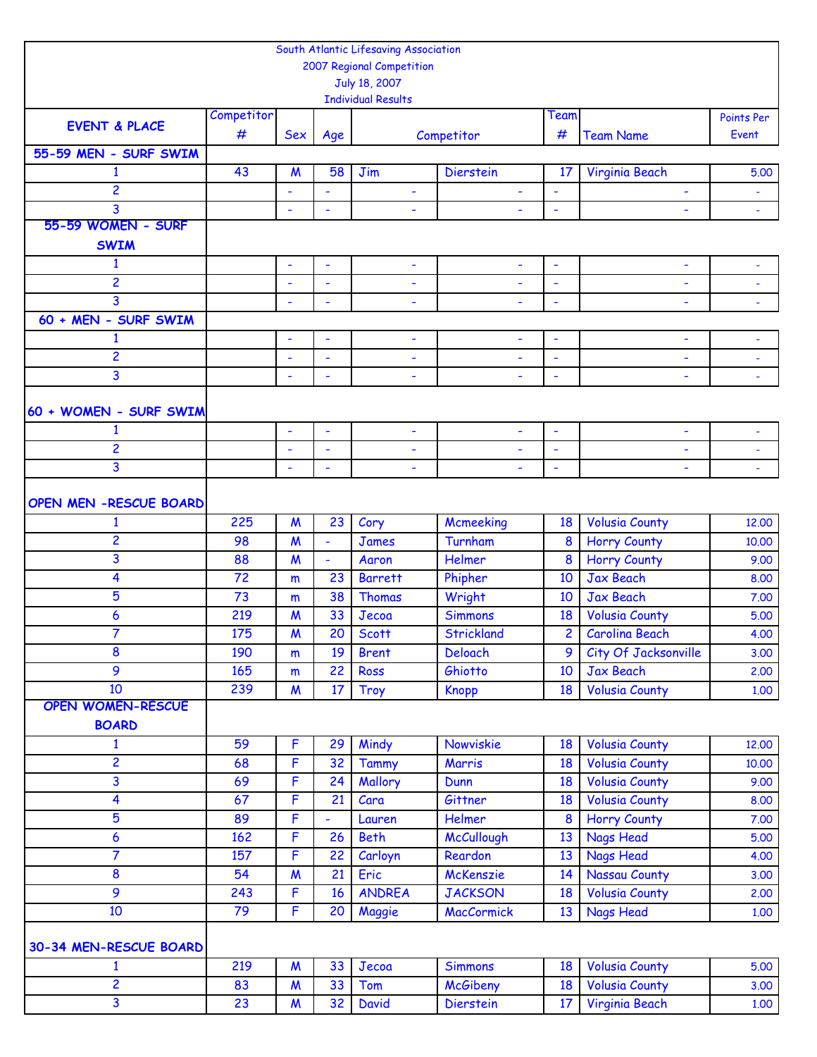|                               |            |                          |                          | South Atlantic Lifesaving Association |                          |                          |                       |                          |
|-------------------------------|------------|--------------------------|--------------------------|---------------------------------------|--------------------------|--------------------------|-----------------------|--------------------------|
|                               |            |                          |                          | 2007 Regional Competition             |                          |                          |                       |                          |
|                               |            |                          |                          | July 18, 2007                         |                          |                          |                       |                          |
|                               |            |                          |                          | <b>Individual Results</b>             |                          |                          |                       |                          |
| <b>EVENT &amp; PLACE</b>      | Competitor |                          |                          |                                       |                          | Team                     |                       | Points Per               |
|                               | #          | <b>Sex</b>               | Age                      |                                       | Competitor               | #                        | <b>Team Name</b>      | Event                    |
| 55-59 MEN - SURF SWIM         |            |                          |                          |                                       |                          |                          |                       |                          |
| $\mathbf{1}$                  | 43         | M                        | 58                       | Jim                                   | <b>Dierstein</b>         | $17 \,$                  | Virginia Beach        | 5.00                     |
| $\overline{c}$                |            | $\blacksquare$           | $\blacksquare$           | $\blacksquare$                        | $\blacksquare$           | $\blacksquare$           | L,                    | $\blacksquare$           |
| 3                             |            | ٠                        | ÷                        | $\overline{\phantom{a}}$              | ÷,                       | $\overline{\phantom{a}}$ | ÷                     | $\overline{\phantom{a}}$ |
| 55-59 WOMEN - SURF            |            |                          |                          |                                       |                          |                          |                       |                          |
| <b>SWIM</b>                   |            |                          |                          |                                       |                          |                          |                       |                          |
| $\mathbf{1}$                  |            | $\overline{\phantom{a}}$ | $\tilde{\phantom{a}}$    | $\overline{\phantom{a}}$              | $\overline{\phantom{a}}$ | ٠                        | ÷,                    |                          |
| $\overline{c}$                |            | $\blacksquare$           | $\blacksquare$           | $\blacksquare$                        | $\blacksquare$           | $\overline{\phantom{a}}$ | ۰                     | $\blacksquare$           |
| 3                             |            | ÷                        | L,                       |                                       |                          |                          | ÷,                    |                          |
| 60 + MEN - SURF SWIM          |            |                          |                          |                                       |                          |                          |                       |                          |
| 1                             |            | $\blacksquare$           | ÷,                       | ÷                                     | $\overline{\phantom{a}}$ | $\overline{\phantom{a}}$ | ۰                     |                          |
| $\overline{c}$                |            | L,                       | ÷,                       | ÷                                     | ÷,                       | ä,                       | ÷,                    | ÷                        |
| 3                             |            | L,                       | $\overline{\phantom{a}}$ | $\overline{\phantom{a}}$              | $\overline{\phantom{0}}$ |                          | ÷,                    |                          |
|                               |            |                          |                          |                                       |                          |                          |                       |                          |
| 60 + WOMEN - SURF SWIM        |            |                          |                          |                                       |                          |                          |                       |                          |
| 1                             |            | ÷,                       | $\blacksquare$           | $\blacksquare$                        | $\overline{\phantom{a}}$ | $\overline{\phantom{a}}$ | ÷,                    | $\blacksquare$           |
| $\overline{c}$                |            | ÷,                       | ÷,                       |                                       | ÷,                       |                          | ÷                     |                          |
| 3                             |            | $\overline{\phantom{a}}$ | $\blacksquare$           | $\overline{\phantom{a}}$              | ÷,                       | $\overline{\phantom{a}}$ | ÷,                    |                          |
|                               |            |                          |                          |                                       |                          |                          |                       | $\overline{\phantom{a}}$ |
| <b>OPEN MEN -RESCUE BOARD</b> |            |                          |                          |                                       |                          |                          |                       |                          |
|                               |            |                          |                          |                                       |                          |                          |                       |                          |
| 1                             | 225        | $\boldsymbol{M}$         | 23                       | Cory                                  | Mcmeeking                | 18                       | <b>Volusia County</b> | 12,00                    |
| $\overline{c}$                | 98         | $\boldsymbol{M}$         | $\blacksquare$           | <b>James</b>                          | Turnham                  | 8                        | <b>Horry County</b>   | 10.00                    |
| 3                             | 88         | $\boldsymbol{M}$         | $\blacksquare$           | Aaron                                 | Helmer                   | 8                        | <b>Horry County</b>   | 9.00                     |
| 4                             | 72         | m                        | 23                       | <b>Barrett</b>                        | Phipher                  | 10                       | <b>Jax Beach</b>      | 8,00                     |
| 5                             | 73         | m                        | 38                       | <b>Thomas</b>                         | Wright                   | 10                       | <b>Jax Beach</b>      | 7.00                     |
| 6                             | 219        | M                        | 33                       | Jecoa                                 | <b>Simmons</b>           | 18                       | <b>Volusia County</b> | 5.00                     |
| $\overline{7}$                | 175        | $\boldsymbol{M}$         | 20                       | <b>Scott</b>                          | Strickland               | 2                        | <b>Carolina Beach</b> | 4.00                     |
| 8                             | 190        | m                        | 19                       | <b>Brent</b>                          | <b>Deloach</b>           | 9                        | City Of Jacksonville  | 3.00                     |
| 9                             | 165        | m                        | 22                       | <b>Ross</b>                           | Ghiotto                  | 10                       | Jax Beach             | 2.00                     |
| 10                            | 239        | $\boldsymbol{M}$         | 17                       | Troy                                  | <b>Knopp</b>             | 18                       | <b>Volusia County</b> | 1.00                     |
| <b>OPEN WOMEN-RESCUE</b>      |            |                          |                          |                                       |                          |                          |                       |                          |
| <b>BOARD</b>                  |            |                          |                          |                                       |                          |                          |                       |                          |
| $\mathbf{1}$                  | 59         | F                        | 29                       | Mindy                                 | Nowviskie                | 18                       | <b>Volusia County</b> | 12,00                    |
| $\overline{\mathbf{c}}$       | 68         | F                        | 32                       | Tammy                                 | Marris                   | 18                       | <b>Volusia County</b> | 10.00                    |
| $\overline{\mathbf{3}}$       | 69         | F                        | 24                       | Mallory                               | Dunn                     | 18                       | <b>Volusia County</b> | 9.00                     |
| 4                             | 67         | F                        | 21                       | Cara                                  | Gittner                  | 18                       | <b>Volusia County</b> | 8.00                     |
| 5                             | 89         | F                        | ۰                        | Lauren                                | Helmer                   | 8                        | <b>Horry County</b>   | 7.00                     |
| 6                             | 162        | F                        | 26                       | <b>Beth</b>                           | McCullough               | 13                       | <b>Nags Head</b>      | 5.00                     |
| $\overline{7}$                | 157        | F                        | 22                       | Carloyn                               | Reardon                  | 13                       | <b>Nags Head</b>      | 4.00                     |
| 8                             | 54         | $\boldsymbol{M}$         | 21                       | Eric                                  | McKenszie                | 14                       | <b>Nassau County</b>  | 3.00                     |
| 9                             | 243        | F                        | 16                       | <b>ANDREA</b>                         | <b>JACKSON</b>           | 18                       | <b>Volusia County</b> | 2,00                     |
| 10                            | 79         | F                        | 20                       | Maggie                                | <b>MacCormick</b>        | 13                       | <b>Nags Head</b>      | 1.00                     |
|                               |            |                          |                          |                                       |                          |                          |                       |                          |
| 30-34 MEN-RESCUE BOARD        |            |                          |                          |                                       |                          |                          |                       |                          |
| $\mathbf{1}$                  | 219        | $\boldsymbol{M}$         | 33                       | Jecoa                                 | <b>Simmons</b>           | 18                       | <b>Volusia County</b> | 5.00                     |
| $\overline{c}$                | 83         | $\boldsymbol{M}$         | 33                       | Tom                                   | <b>McGibeny</b>          | 18                       | <b>Volusia County</b> | 3.00                     |
| $\overline{3}$                | 23         | $\boldsymbol{M}$         | 32                       | <b>David</b>                          | Dierstein                | 17                       | Virginia Beach        | 1.00                     |
|                               |            |                          |                          |                                       |                          |                          |                       |                          |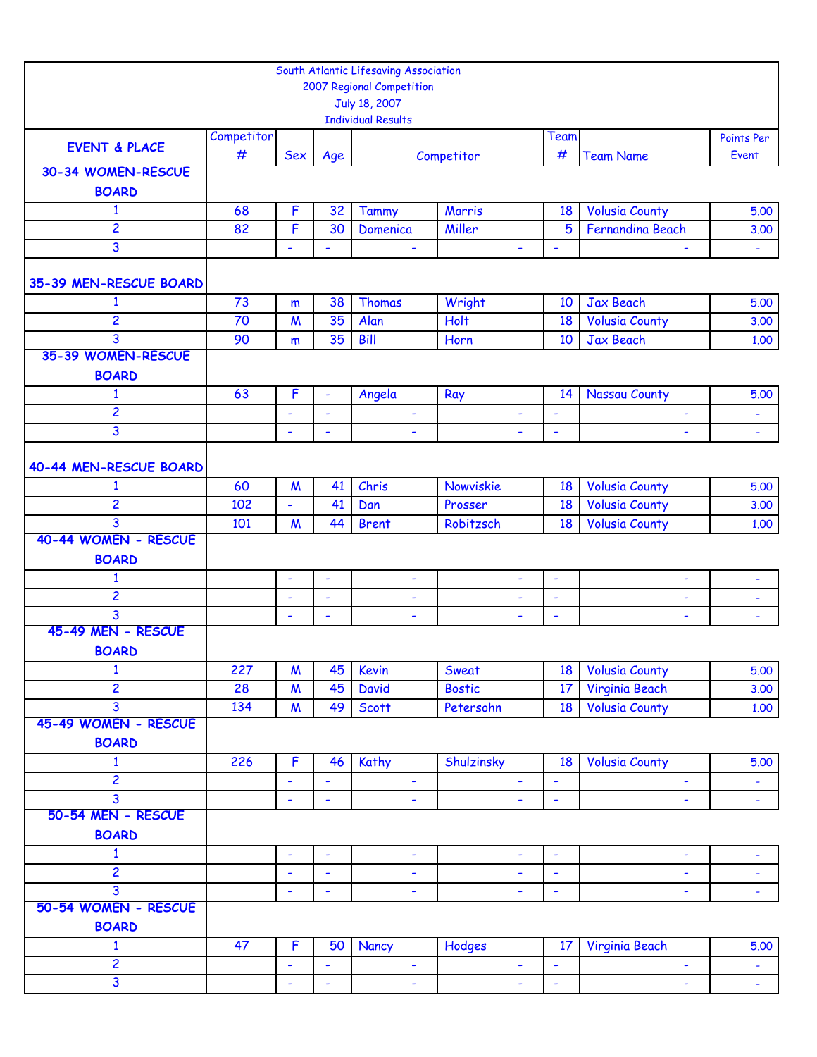|                          |                 |                  |                          | South Atlantic Lifesaving Association      |                          |                          |                         |                          |
|--------------------------|-----------------|------------------|--------------------------|--------------------------------------------|--------------------------|--------------------------|-------------------------|--------------------------|
|                          |                 |                  |                          | 2007 Regional Competition<br>July 18, 2007 |                          |                          |                         |                          |
|                          |                 |                  |                          | <b>Individual Results</b>                  |                          |                          |                         |                          |
|                          | Competitor      |                  |                          |                                            |                          | Team                     |                         | Points Per               |
| <b>EVENT &amp; PLACE</b> | #               | Sex              | Age                      |                                            | Competitor               | #                        | <b>Team Name</b>        | Event                    |
| 30-34 WOMEN-RESCUE       |                 |                  |                          |                                            |                          |                          |                         |                          |
| <b>BOARD</b>             |                 |                  |                          |                                            |                          |                          |                         |                          |
| $\mathbf{1}$             | 68              | F                | 32                       | <b>Tammy</b>                               | Marris                   | 18                       | <b>Volusia County</b>   | 5.00                     |
| $\overline{c}$           | 82              | F                | 30                       | Domenica                                   | Miller                   | 5                        | <b>Fernandina Beach</b> | 3.00                     |
| 3                        |                 | ä,               | $\blacksquare$           | $\blacksquare$                             | $\blacksquare$           | $\overline{\phantom{a}}$ |                         | ÷.                       |
| 35-39 MEN-RESCUE BOARD   |                 |                  |                          |                                            |                          |                          |                         |                          |
| 1                        | 73              | m                | 38                       | Thomas                                     | Wright                   | 10                       | Jax Beach               | 5.00                     |
| $\overline{2}$           | $\overline{70}$ | $\boldsymbol{M}$ | 35                       | Alan                                       | <b>Holt</b>              | 18                       | <b>Volusia County</b>   | 3.00                     |
| 3                        | 90              | m                | 35                       | <b>Bill</b>                                | Horn                     | 10                       | <b>Jax Beach</b>        | 1.00                     |
| 35-39 WOMEN-RESCUE       |                 |                  |                          |                                            |                          |                          |                         |                          |
| <b>BOARD</b>             |                 |                  |                          |                                            |                          |                          |                         |                          |
| $\mathbf{1}$             | 63              | F                | $\overline{\phantom{a}}$ | Angela                                     | Ray                      | 14                       | Nassau County           | 5.00                     |
| 2                        |                 | ٠                | $\overline{\phantom{a}}$ | $\blacksquare$                             | ÷                        | ÷                        | ٠                       | ÷                        |
| 3                        |                 | L,               | $\blacksquare$           | $\overline{\phantom{a}}$                   |                          | $\tilde{\phantom{a}}$    |                         | ä,                       |
|                          |                 |                  |                          |                                            |                          |                          |                         |                          |
| 40-44 MEN-RESCUE BOARD   |                 |                  |                          |                                            |                          |                          |                         |                          |
| $\mathbf{1}$             | 60              | $\boldsymbol{M}$ | 41                       | Chris                                      | Nowviskie                | 18                       | <b>Volusia County</b>   | 5.00                     |
| $\overline{c}$           | 102             | ä,               | 41                       | Dan                                        | Prosser                  | 18                       | <b>Volusia County</b>   | 3.00                     |
| 3                        | 101             | $\boldsymbol{M}$ | 44                       | <b>Brent</b>                               | Robitzsch                | 18                       | <b>Volusia County</b>   | 1.00                     |
| 40-44 WOMEN - RESCUE     |                 |                  |                          |                                            |                          |                          |                         |                          |
| <b>BOARD</b>             |                 |                  |                          |                                            |                          |                          |                         |                          |
| $\mathbf{1}$             |                 | $\blacksquare$   | $\blacksquare$           | $\blacksquare$                             | $\blacksquare$           | $\blacksquare$           | ÷                       | $\overline{\phantom{a}}$ |
| 2                        |                 | ۰                | $\blacksquare$           | $\overline{\phantom{a}}$                   | ٠                        | ÷                        | ۰                       | ÷,                       |
| 3                        |                 | $\blacksquare$   | $\blacksquare$           | $\overline{\phantom{a}}$                   | $\overline{\phantom{a}}$ | $\blacksquare$           | ÷,                      | ä,                       |
| 45-49 MEN - RESCUE       |                 |                  |                          |                                            |                          |                          |                         |                          |
| <b>BOARD</b>             |                 |                  |                          |                                            |                          |                          |                         |                          |
| $\mathbf{1}$             | 227             | $\boldsymbol{M}$ | 45                       | Kevin                                      | Sweat                    | 18                       | <b>Volusia County</b>   | 5.00                     |
| $\overline{c}$           | 28              | $\boldsymbol{M}$ | 45                       | <b>David</b>                               | <b>Bostic</b>            | 17 <sup>17</sup>         | Virginia Beach          | 3.00                     |
| 3                        | 134             | $\boldsymbol{M}$ | 49                       | <b>Scott</b>                               | Petersohn                | 18                       | <b>Volusia County</b>   | 1.00                     |
| 45-49 WOMEN - RESCUE     |                 |                  |                          |                                            |                          |                          |                         |                          |
| <b>BOARD</b>             |                 |                  |                          |                                            |                          |                          |                         |                          |
| $\mathbf{1}$             | 226             | F                | 46                       | Kathy                                      | Shulzinsky               | 18                       | <b>Volusia County</b>   | 5.00                     |
| 2                        |                 | ÷                | ÷                        | ٠                                          |                          | ÷                        |                         |                          |
| 3                        |                 | ÷                | $\blacksquare$           | $\blacksquare$                             | ÷<br>$\blacksquare$      | $\blacksquare$           | ۰<br>÷,                 | ۳<br>÷,                  |
| 50-54 MEN - RESCUE       |                 |                  |                          |                                            |                          |                          |                         |                          |
| <b>BOARD</b>             |                 |                  |                          |                                            |                          |                          |                         |                          |
| $\mathbf{1}$             |                 | $\blacksquare$   | $\blacksquare$           | $\blacksquare$                             | $\blacksquare$           | $\blacksquare$           | $\blacksquare$          |                          |
| $\overline{c}$           |                 | ÷,               | $\Box$                   | $\blacksquare$                             | $\blacksquare$           | $\blacksquare$           | ÷,                      | ٠<br>$\omega_{\rm c}$    |
| 3                        |                 |                  | $\blacksquare$           |                                            |                          |                          |                         |                          |
| 50-54 WOMEN - RESCUE     |                 | ä,               |                          | $\overline{\phantom{a}}$                   | ÷,                       | $\blacksquare$           | ÷,                      | $\blacksquare$           |
| <b>BOARD</b>             |                 |                  |                          |                                            |                          |                          |                         |                          |
| 1                        | 47              | F                | 50                       | Nancy                                      |                          | 17                       | Virginia Beach          | 5.00                     |
| $\overline{2}$           |                 |                  |                          |                                            | Hodges                   |                          |                         |                          |
| 3                        |                 | ÷                | $\blacksquare$           | $\blacksquare$                             | $\blacksquare$           | $\blacksquare$           | ÷                       | $\omega_{\rm c}$         |
|                          |                 | ÷,               | $\blacksquare$           | $\blacksquare$                             | $\blacksquare$           | $\overline{\phantom{a}}$ | ÷                       | $\omega_{\rm c}$         |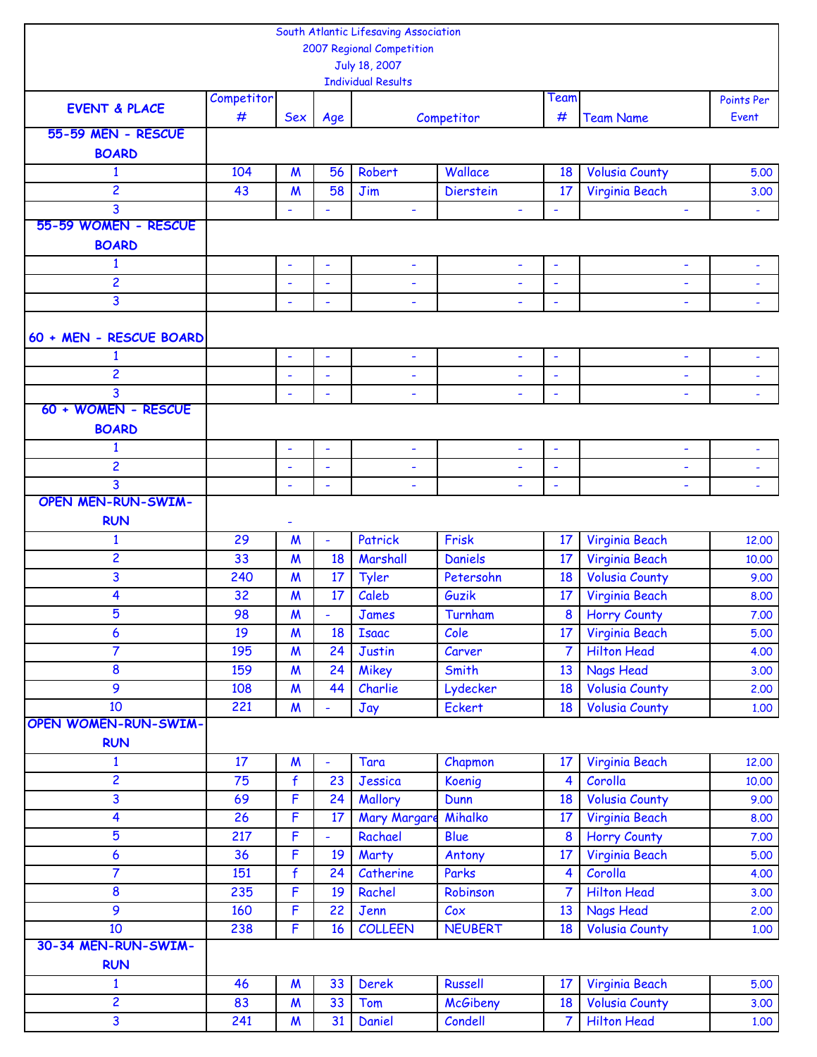|                             |            |                          |                          | South Atlantic Lifesaving Association |                          |                          |                       |                          |
|-----------------------------|------------|--------------------------|--------------------------|---------------------------------------|--------------------------|--------------------------|-----------------------|--------------------------|
|                             |            |                          |                          | 2007 Regional Competition             |                          |                          |                       |                          |
|                             |            |                          |                          | July 18, 2007                         |                          |                          |                       |                          |
|                             |            |                          |                          | <b>Individual Results</b>             |                          |                          |                       |                          |
| <b>EVENT &amp; PLACE</b>    | Competitor |                          |                          |                                       |                          | Team                     |                       | Points Per               |
|                             | #          | <b>Sex</b>               | Age                      |                                       | Competitor               | #                        | <b>Team Name</b>      | Event                    |
| 55-59 MEN - RESCUE          |            |                          |                          |                                       |                          |                          |                       |                          |
| <b>BOARD</b>                |            |                          |                          |                                       |                          |                          |                       |                          |
| $\mathbf{1}$                | 104        | $\boldsymbol{M}$         | 56                       | Robert                                | Wallace                  | 18                       | <b>Volusia County</b> | 5.00                     |
| $\overline{2}$              | 43         | $\mathsf{M}$             | 58                       | Jim                                   | <b>Dierstein</b>         | 17                       | Virginia Beach        | 3.00                     |
| 3                           |            | ÷,                       | $\overline{\phantom{a}}$ | $\overline{\phantom{a}}$              | $\overline{\phantom{a}}$ | $\blacksquare$           | ÷,                    | $\blacksquare$           |
| 55-59 WOMEN - RESCUE        |            |                          |                          |                                       |                          |                          |                       |                          |
| <b>BOARD</b>                |            |                          |                          |                                       |                          |                          |                       |                          |
| $\mathbf{1}$                |            | ٠                        | ÷                        | $\overline{\phantom{a}}$              | ٠                        | $\overline{\phantom{a}}$ | ÷,                    |                          |
| 2                           |            | ÷,                       | ä,                       | $\overline{\phantom{a}}$              | $\blacksquare$           | $\overline{\phantom{a}}$ | ÷,                    | $\blacksquare$           |
| 3                           |            | $\overline{\phantom{a}}$ | Ĭ.                       |                                       |                          | $\overline{\phantom{a}}$ | ÷,                    |                          |
|                             |            |                          |                          |                                       |                          |                          |                       |                          |
| 60 + MEN - RESCUE BOARD     |            |                          |                          |                                       |                          |                          |                       |                          |
| $\mathbf{1}$                |            | ÷,                       | ÷,                       | ٠                                     | $\blacksquare$           | $\overline{\phantom{a}}$ | ÷                     | $\overline{\phantom{a}}$ |
| 2                           |            | $\ddot{\phantom{1}}$     | $\blacksquare$           | $\overline{\phantom{a}}$              |                          | $\tilde{\phantom{a}}$    | ÷,                    |                          |
| 3                           |            | ٠                        | ٠                        | ٠                                     |                          | ÷                        | ÷                     |                          |
| 60 + WOMEN - RESCUE         |            |                          |                          |                                       |                          |                          |                       |                          |
| <b>BOARD</b>                |            |                          |                          |                                       |                          |                          |                       |                          |
| $\mathbf{1}$                |            | ÷                        | $\blacksquare$           |                                       | $\overline{\phantom{a}}$ |                          | ÷,                    |                          |
| $\overline{\mathbf{c}}$     |            | $\blacksquare$           | ÷                        | ٠                                     | $\blacksquare$           | $\overline{\phantom{a}}$ | ۰                     | $\blacksquare$           |
| 3                           |            | ÷,                       | ÷,                       | ٠                                     |                          | $\overline{\phantom{a}}$ | L,                    |                          |
| <b>OPEN MEN-RUN-SWIM-</b>   |            |                          |                          |                                       |                          |                          |                       |                          |
| <b>RUN</b>                  |            | ۰                        |                          |                                       |                          |                          |                       |                          |
| $\mathbf{1}$                | 29         | $\boldsymbol{M}$         | ÷,                       | Patrick                               | Frisk                    | 17                       | Virginia Beach        | 12,00                    |
| $\overline{\mathbf{c}}$     | 33         | $\boldsymbol{M}$         | 18                       | Marshall                              | <b>Daniels</b>           | 17                       | Virginia Beach        | 10,00                    |
| 3                           | 240        | $\boldsymbol{M}$         | 17                       | Tyler                                 | Petersohn                | 18                       | <b>Volusia County</b> | 9.00                     |
| 4                           | 32         | $\boldsymbol{M}$         | 17                       | Caleb                                 | Guzik                    | 17                       | Virginia Beach        | 8,00                     |
| 5                           | 98         | $\boldsymbol{M}$         |                          | James                                 | Turnham                  | 8                        | <b>Horry County</b>   | 7.00                     |
| 6                           | 19         | $\boldsymbol{M}$         | 18                       | <b>Isaac</b>                          | Cole                     | 17 <sup>17</sup>         | Virginia Beach        | 5.00                     |
| 7                           | 195        | $\boldsymbol{M}$         | 24                       | <b>Justin</b>                         | Carver                   | 7                        | <b>Hilton Head</b>    | 4.00                     |
| 8                           | 159        | $\boldsymbol{M}$         | 24                       | Mikey                                 | Smith                    | 13                       | <b>Nags Head</b>      | 3.00                     |
| 9                           | 108        | $\boldsymbol{M}$         | 44                       | Charlie                               | Lydecker                 | 18                       | <b>Volusia County</b> | 2.00                     |
| 10                          |            |                          |                          |                                       |                          |                          |                       |                          |
| <b>OPEN WOMEN-RUN-SWIM-</b> | 221        | $\boldsymbol{M}$         | ä,                       | Jay                                   | Eckert                   | 18                       | <b>Volusia County</b> | 1,00                     |
|                             |            |                          |                          |                                       |                          |                          |                       |                          |
| <b>RUN</b>                  |            |                          |                          |                                       |                          |                          |                       |                          |
| $\mathbf{1}$                | 17         | $\boldsymbol{M}$         | ÷,                       | Tara                                  | Chapmon                  | 17                       | Virginia Beach        | 12,00                    |
| 2                           | 75         | $\mathbf f$              | 23                       | Jessica                               | Koenig                   | $\overline{4}$           | Corolla               | 10.00                    |
| 3                           | 69         | F                        | 24                       | Mallory                               | Dunn                     | 18                       | <b>Volusia County</b> | 9.00                     |
| 4                           | 26         | F                        | 17                       | <b>Mary Margare</b>                   | Mihalko                  | 17                       | Virginia Beach        | 8.00                     |
| 5                           | 217        | F                        | ÷,                       | Rachael                               | <b>Blue</b>              | 8                        | Horry County          | 7.00                     |
| 6                           | 36         | F                        | 19                       | Marty                                 | Antony                   | 17                       | Virginia Beach        | 5.00                     |
| $\overline{7}$              | 151        | f                        | 24                       | $\overline{\mathcal{C}}$ atherine     | Parks                    | 4                        | Corolla               | 4.00                     |
| 8                           | 235        | F                        | 19                       | Rachel                                | Robinson                 | 7                        | <b>Hilton Head</b>    | 3.00                     |
| 9                           | 160        | F                        | 22                       | Jenn                                  | Cox                      | 13                       | <b>Nags Head</b>      | 2.00                     |
| 10                          | 238        | F                        | 16                       | <b>COLLEEN</b>                        | <b>NEUBERT</b>           | 18                       | <b>Volusia County</b> | 1.00                     |
| 30-34 MEN-RUN-SWIM-         |            |                          |                          |                                       |                          |                          |                       |                          |
| <b>RUN</b>                  |            |                          |                          |                                       |                          |                          |                       |                          |
| $\mathbf{1}$                | 46         | $\boldsymbol{M}$         | 33                       | <b>Derek</b>                          | <b>Russell</b>           | 17                       | Virginia Beach        | 5.00                     |
| 2                           | 83         | $\boldsymbol{M}$         | 33                       | Tom                                   | <b>McGibeny</b>          | 18                       | <b>Volusia County</b> | 3.00                     |
| $\overline{\mathbf{3}}$     | 241        | $\boldsymbol{M}$         | 31                       | Daniel                                | Condell                  | $\overline{7}$           | <b>Hilton Head</b>    | 1.00                     |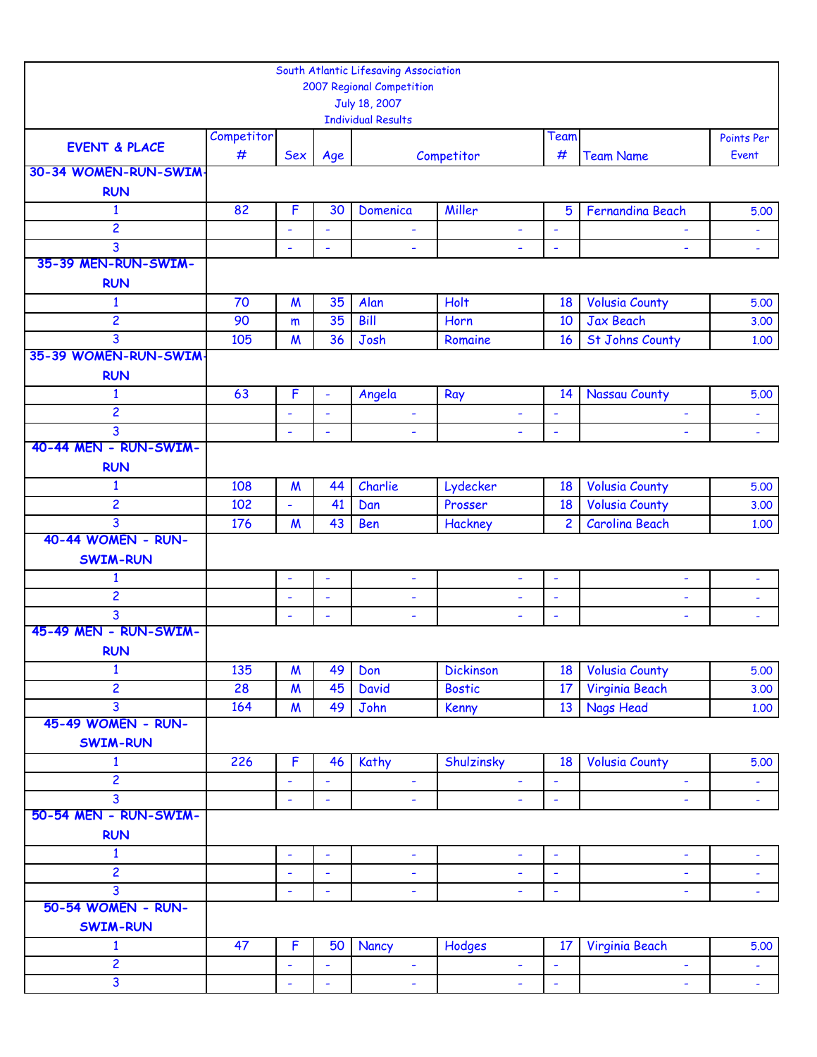|                                 |            |                  |                | South Atlantic Lifesaving Association      |                  |                                                      |                          |                     |
|---------------------------------|------------|------------------|----------------|--------------------------------------------|------------------|------------------------------------------------------|--------------------------|---------------------|
|                                 |            |                  |                | 2007 Regional Competition                  |                  |                                                      |                          |                     |
|                                 |            |                  |                | July 18, 2007<br><b>Individual Results</b> |                  |                                                      |                          |                     |
|                                 | Competitor |                  |                |                                            |                  | Team                                                 |                          | Points Per          |
| <b>EVENT &amp; PLACE</b>        | #          | <b>Sex</b>       | Age            |                                            | Competitor       | #                                                    | <b>Team Name</b>         | Event               |
| 30-34 WOMEN-RUN-SWIM-           |            |                  |                |                                            |                  |                                                      |                          |                     |
| <b>RUN</b>                      |            |                  |                |                                            |                  |                                                      |                          |                     |
| $\mathbf{1}$                    | 82         | F                | 30             | Domenica                                   | Miller           | $5\phantom{1}$                                       | <b>Fernandina Beach</b>  | 5.00                |
| 2                               |            |                  | ٠              | ٠                                          | ÷                | ÷                                                    |                          | ۰                   |
| 3                               |            | ÷,               | ä,             | ÷,                                         | ÷.               | $\overline{\phantom{a}}$                             | ä,                       | ä,                  |
| 35-39 MEN-RUN-SWIM-             |            |                  |                |                                            |                  |                                                      |                          |                     |
| <b>RUN</b>                      |            |                  |                |                                            |                  |                                                      |                          |                     |
| $\mathbf{1}$                    | 70         | $\boldsymbol{M}$ | 35             | Alan                                       | Holt             | 18                                                   | <b>Volusia County</b>    | 5.00                |
| $\overline{c}$                  | 90         | m                | 35             | Bill                                       | Horn             | 10                                                   | Jax Beach                | 3.00                |
| 3<br>35-39 WOMEN-RUN-SWIM-      | 105        | $\boldsymbol{M}$ | 36             | Josh                                       | Romaine          | 16                                                   | <b>St Johns County</b>   | 1.00                |
| <b>RUN</b>                      |            |                  |                |                                            |                  |                                                      |                          |                     |
| $\mathbf{1}$                    | 63         | F                | ä,             |                                            |                  | 14                                                   | <b>Nassau County</b>     | 5.00                |
| 2                               |            |                  | ÷,             | Angela                                     | Ray<br>÷,        | ٠                                                    |                          |                     |
| 3                               |            | $\blacksquare$   | $\blacksquare$ | ٠<br>$\overline{\phantom{0}}$              | $\blacksquare$   | $\overline{\phantom{a}}$                             | ä,                       | ÷<br>$\blacksquare$ |
| 40-44 MEN - RUN-SWIM-           |            |                  |                |                                            |                  |                                                      |                          |                     |
| <b>RUN</b>                      |            |                  |                |                                            |                  |                                                      |                          |                     |
| $\mathbf{1}$                    | 108        | $\boldsymbol{M}$ | 44             | Charlie                                    | Lydecker         | 18                                                   | <b>Volusia County</b>    | 5.00                |
| $\overline{\mathbf{c}}$         | 102        |                  | 41             | Dan                                        | Prosser          | 18                                                   | <b>Volusia County</b>    | 3.00                |
| 3                               | 176        | $\boldsymbol{M}$ | 43             | Ben                                        | Hackney          | $\overline{2}$                                       | <b>Carolina Beach</b>    | 1.00                |
| 40-44 WOMEN - RUN-              |            |                  |                |                                            |                  |                                                      |                          |                     |
| <b>SWIM-RUN</b>                 |            |                  |                |                                            |                  |                                                      |                          |                     |
| $\mathbf{1}$                    |            | ÷,               | ä,             | ÷,                                         | ÷,               | $\overline{\phantom{a}}$                             | $\blacksquare$           | ÷,                  |
| $\overline{c}$                  |            | ٠                | ÷              | ۰                                          | ٠                | ÷                                                    | ٠                        | ä,                  |
| 3                               |            | ÷,               | ÷,             | ÷                                          | ÷,               | $\overline{\phantom{a}}$                             | $\blacksquare$           | $\blacksquare$      |
| 45-49 MEN - RUN-SWIM-           |            |                  |                |                                            |                  |                                                      |                          |                     |
| <b>RUN</b>                      |            |                  |                |                                            |                  |                                                      |                          |                     |
| $\mathbf{1}$                    | 135        | $\boldsymbol{M}$ | 49             | Don                                        | <b>Dickinson</b> | 18                                                   | <b>Volusia County</b>    | 5.00                |
| $\overline{c}$                  | 28         | $\boldsymbol{M}$ | 45             | <b>David</b>                               | <b>Bostic</b>    | 17                                                   | Virginia Beach           | 3.00                |
| 3<br>45-49 WOMEN - RUN-         | 164        | $\boldsymbol{M}$ | 49             | John                                       | Kenny            | 13                                                   | <b>Nags Head</b>         | 1.00                |
|                                 |            |                  |                |                                            |                  |                                                      |                          |                     |
| <b>SWIM-RUN</b><br>$\mathbf{1}$ | 226        | $\mathsf{F}$     | 46             |                                            |                  | 18                                                   | <b>Volusia County</b>    |                     |
| $\overline{c}$                  |            | ä,               | ÷,             | Kathy                                      | Shulzinsky       |                                                      |                          | 5.00                |
| 3                               |            | $\blacksquare$   | ä,             | ÷<br>÷,                                    | ÷,<br>ä,         | $\overline{\phantom{a}}$<br>$\overline{\phantom{a}}$ | ÷<br>÷,                  | Ξ                   |
| 50-54 MEN - RUN-SWIM-           |            |                  |                |                                            |                  |                                                      |                          | $\omega_{\rm c}$    |
| <b>RUN</b>                      |            |                  |                |                                            |                  |                                                      |                          |                     |
| $\mathbf{1}$                    |            | ÷                | ÷              | ÷                                          | ٠                | $\blacksquare$                                       | ٠                        | ٠                   |
| 2                               |            | ÷,               | ä,             | ÷                                          | ÷,               | $\overline{\phantom{a}}$                             | L,                       | $\blacksquare$      |
| 3                               |            | $\blacksquare$   | $\blacksquare$ | ÷,                                         | ÷,               | $\blacksquare$                                       | ÷,                       | ÷,                  |
| 50-54 WOMEN - RUN-              |            |                  |                |                                            |                  |                                                      |                          |                     |
| <b>SWIM-RUN</b>                 |            |                  |                |                                            |                  |                                                      |                          |                     |
| $\mathbf{1}$                    | 47         | $\mathsf{F}$     | 50             | Nancy                                      | Hodges           | 17                                                   | Virginia Beach           | 5.00                |
| $\overline{c}$                  |            | ÷,               | ÷,             | ۰                                          | ٠                | $\overline{\phantom{a}}$                             | $\overline{\phantom{a}}$ | $\blacksquare$      |
| 3                               |            | $\blacksquare$   | ä,             | $\blacksquare$                             | $\blacksquare$   | $\blacksquare$                                       | $\blacksquare$           | $\omega$ .          |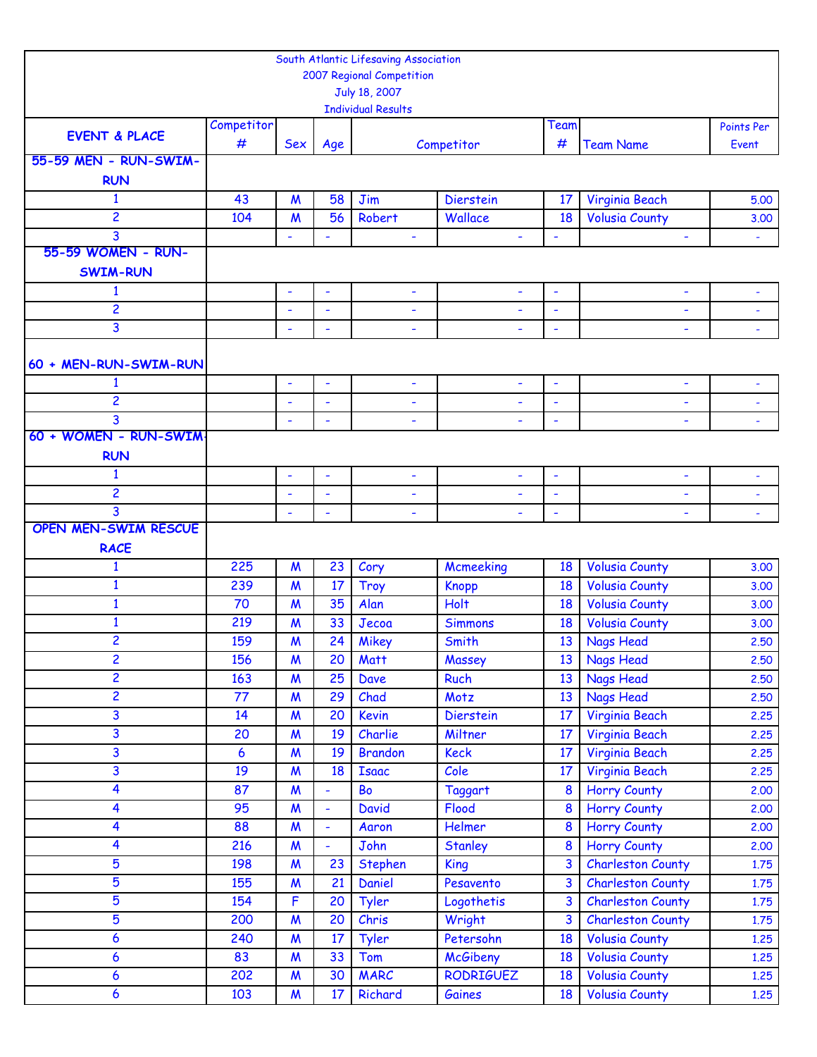|                             |            |                          |                          | South Atlantic Lifesaving Association |                          |                          |                          |                          |
|-----------------------------|------------|--------------------------|--------------------------|---------------------------------------|--------------------------|--------------------------|--------------------------|--------------------------|
|                             |            |                          |                          | 2007 Regional Competition             |                          |                          |                          |                          |
|                             |            |                          |                          | July 18, 2007                         |                          |                          |                          |                          |
|                             |            |                          |                          | <b>Individual Results</b>             |                          |                          |                          |                          |
| <b>EVENT &amp; PLACE</b>    | Competitor |                          |                          |                                       |                          | Team                     |                          | Points Per               |
|                             | #          | Sex                      | Age                      |                                       | Competitor               | #                        | <b>Team Name</b>         | Event                    |
| 55-59 MEN - RUN-SWIM-       |            |                          |                          |                                       |                          |                          |                          |                          |
| <b>RUN</b>                  |            |                          |                          |                                       |                          |                          |                          |                          |
| $\mathbf{1}$                | 43         | $\boldsymbol{M}$         | 58                       | Jim                                   | <b>Dierstein</b>         | 17                       | Virginia Beach           | 5.00                     |
| $\overline{c}$              | 104        | $\boldsymbol{M}$         | 56                       | Robert                                | Wallace                  | 18                       | <b>Volusia County</b>    | 3.00                     |
| 3                           |            | ۰                        | ÷,                       | $\blacksquare$                        | $\blacksquare$           | $\blacksquare$           | ÷                        | $\omega_{\rm c}$         |
| 55-59 WOMEN - RUN-          |            |                          |                          |                                       |                          |                          |                          |                          |
| <b>SWIM-RUN</b>             |            |                          |                          |                                       |                          |                          |                          |                          |
| $\mathbf{1}$                |            | ٠                        | ٠                        | ٠                                     | ۰                        | ٠                        | ٠                        |                          |
| $\overline{c}$              |            | $\overline{\phantom{a}}$ | $\overline{\phantom{a}}$ | $\overline{\phantom{0}}$              | ۰                        | $\overline{\phantom{a}}$ | ٠                        |                          |
| 3                           |            | ÷,                       | $\blacksquare$           | $\overline{\phantom{a}}$              |                          | $\blacksquare$           | $\overline{\phantom{a}}$ |                          |
|                             |            |                          |                          |                                       |                          |                          |                          |                          |
| 60 + MEN-RUN-SWIM-RUN       |            |                          |                          |                                       |                          |                          |                          |                          |
| $\mathbf{1}$                |            | $\blacksquare$           | $\blacksquare$           | $\blacksquare$                        | $\blacksquare$           | $\blacksquare$           | ÷,                       | $\overline{\phantom{a}}$ |
| 2                           |            | $\overline{\phantom{a}}$ | $\blacksquare$           | ۰                                     | $\overline{\phantom{0}}$ | $\blacksquare$           |                          |                          |
| 3                           |            | ٠                        | $\overline{\phantom{a}}$ | ÷                                     |                          | $\blacksquare$           | ٠                        |                          |
| 60 + WOMEN - RUN-SWIM       |            |                          |                          |                                       |                          |                          |                          |                          |
| <b>RUN</b>                  |            |                          |                          |                                       |                          |                          |                          |                          |
| $\mathbf{1}$                |            | ٠                        | $\blacksquare$           | ÷                                     | ٠                        | $\blacksquare$           | $\overline{\phantom{a}}$ |                          |
| $\overline{c}$              |            | $\overline{\phantom{a}}$ | $\overline{\phantom{a}}$ | ۰                                     | L,                       | $\overline{\phantom{a}}$ | ۰                        | $\blacksquare$           |
| 3                           |            | $\overline{\phantom{a}}$ | $\overline{\phantom{a}}$ | $\overline{\phantom{a}}$              |                          | $\blacksquare$           | ÷                        |                          |
| <b>OPEN MEN-SWIM RESCUE</b> |            |                          |                          |                                       |                          |                          |                          |                          |
| <b>RACE</b>                 |            |                          |                          |                                       |                          |                          |                          |                          |
| $\mathbf{1}$                | 225        | $\boldsymbol{M}$         | 23                       | Cory                                  | Mcmeeking                | 18                       | <b>Volusia County</b>    | 3.00                     |
| $\mathbf{1}$                | 239        | $\boldsymbol{M}$         | 17                       | Troy                                  | <b>Knopp</b>             | 18                       | <b>Volusia County</b>    | 3.00                     |
| $\mathbf{1}$                | 70         | $\boldsymbol{M}$         | 35                       | Alan                                  | Holt                     | 18                       | <b>Volusia County</b>    | 3.00                     |
| $\mathbf{1}$                | 219        | M                        | 33                       | Jecoa                                 | <b>Simmons</b>           | 18                       | <b>Volusia County</b>    | 3.00                     |
| $\overline{c}$              | 159        | M                        | 24                       | Mikey                                 | Smith                    | 13                       | <b>Nags Head</b>         | 2.50                     |
| $\overline{c}$              | 156        | M                        | 20                       | <b>Matt</b>                           | Massey                   | 13                       | Nags Head                | 2.50                     |
| $\overline{c}$              | 163        | $\boldsymbol{M}$         | 25                       | Dave                                  | Ruch                     | 13                       | <b>Nags Head</b>         | 2.50                     |
| 2                           | 77         | $\boldsymbol{M}$         | 29                       | Chad                                  | Motz                     | 13                       | Nags Head                | 2.50                     |
| 3                           | 14         | $\boldsymbol{M}$         | 20                       | Kevin                                 | <b>Dierstein</b>         | 17                       | Virginia Beach           | 2.25                     |
| 3                           | 20         | M                        | 19                       | Charlie                               | Miltner                  | 17                       | Virginia Beach           | 2.25                     |
| 3                           | 6          | $\boldsymbol{M}$         | 19                       | <b>Brandon</b>                        | <b>Keck</b>              | 17                       | Virginia Beach           | 2.25                     |
| $\mathbf{3}$                | 19         | $\boldsymbol{M}$         | 18                       | <b>Isaac</b>                          | Cole                     | 17                       | Virginia Beach           | 2.25                     |
| $\overline{\mathbf{4}}$     | 87         | $\boldsymbol{M}$         | $\blacksquare$           | Bo                                    | Taggart                  | 8                        | <b>Horry County</b>      | 2.00                     |
| 4                           | 95         | $\boldsymbol{M}$         | $\blacksquare$           | <b>David</b>                          | Flood                    | 8                        | <b>Horry County</b>      | 2.00                     |
| $\overline{\mathbf{4}}$     | 88         | $\boldsymbol{M}$         | $\blacksquare$           | Aaron                                 | Helmer                   | 8                        | <b>Horry County</b>      | 2.00                     |
| $\overline{\mathbf{4}}$     | 216        |                          |                          | John                                  |                          | 8                        |                          |                          |
|                             |            | $\boldsymbol{M}$         | $\blacksquare$           |                                       | Stanley                  |                          | <b>Horry County</b>      | 2.00                     |
| 5                           | 198        | $\boldsymbol{M}$         | 23                       | Stephen                               | <b>King</b>              | 3                        | <b>Charleston County</b> | 1.75                     |
| $\overline{5}$              | 155        | M                        | 21                       | Daniel                                | Pesavento                | 3                        | <b>Charleston County</b> | 1.75                     |
| $\overline{5}$              | 154        | F                        | 20                       | <b>Tyler</b>                          | Logothetis               | 3                        | <b>Charleston County</b> | 1.75                     |
| 5                           | 200        | $\boldsymbol{M}$         | 20                       | Chris                                 | Wright                   | 3                        | <b>Charleston County</b> | 1.75                     |
| 6                           | 240        | M                        | 17                       | Tyler                                 | Petersohn                | 18                       | <b>Volusia County</b>    | 1,25                     |
| $\boldsymbol{6}$            | 83         | W                        | 33                       | Tom                                   | <b>McGibeny</b>          | 18                       | <b>Volusia County</b>    | 1,25                     |
| $\boldsymbol{6}$            | 202        | $\boldsymbol{M}$         | 30                       | <b>MARC</b>                           | <b>RODRIGUEZ</b>         | 18                       | <b>Volusia County</b>    | 1.25                     |
| 6                           | 103        | $\boldsymbol{M}$         | 17                       | Richard                               | Gaines                   | 18                       | <b>Volusia County</b>    | 1,25                     |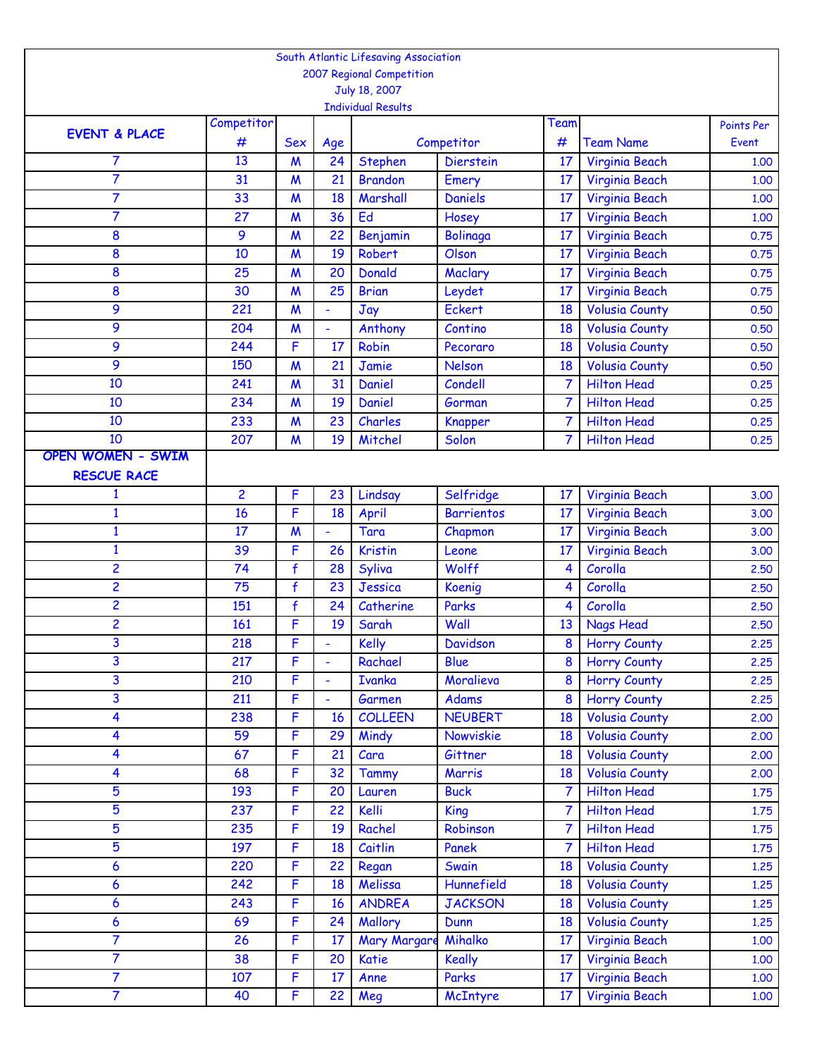|                          |                |                  |                | South Atlantic Lifesaving Association |                   |                  |                       |                     |
|--------------------------|----------------|------------------|----------------|---------------------------------------|-------------------|------------------|-----------------------|---------------------|
|                          |                |                  |                | 2007 Regional Competition             |                   |                  |                       |                     |
|                          |                |                  |                | July 18, 2007                         |                   |                  |                       |                     |
|                          | Competitor     |                  |                | <b>Individual Results</b>             |                   | Team             |                       |                     |
| <b>EVENT &amp; PLACE</b> | #              | Sex              |                |                                       | Competitor        | #                | <b>Team Name</b>      | Points Per<br>Event |
| 7                        | 13             | M                | Age<br>24      | Stephen                               | <b>Dierstein</b>  | 17               | Virginia Beach        | 1.00                |
| $\overline{7}$           | 31             | $\boldsymbol{M}$ | 21             | <b>Brandon</b>                        | Emery             | 17               | Virginia Beach        | 1.00                |
| $\overline{7}$           | 33             | $\boldsymbol{M}$ | 18             | Marshall                              | <b>Daniels</b>    | 17               | <b>Virginia Beach</b> | 1,00                |
| $\overline{7}$           | 27             | M                | 36             | Ed                                    | Hosey             | 17               | Virginia Beach        | 1.00                |
| 8                        | 9              | M                | 22             | Benjamin                              | <b>Bolinaga</b>   | 17               | Virginia Beach        | 0.75                |
| 8                        | 10             | $\boldsymbol{M}$ | 19             | Robert                                | Olson             | 17               | Virginia Beach        | 0.75                |
| 8                        | 25             | M                | 20             | <b>Donald</b>                         | Maclary           | 17               | Virginia Beach        | 0.75                |
| 8                        | 30             | M                | 25             | <b>Brian</b>                          | Leydet            | 17               | Virginia Beach        | 0.75                |
| 9                        | 221            | $\boldsymbol{M}$ | $\blacksquare$ | Jay                                   | <b>Eckert</b>     | 18               | <b>Volusia County</b> | 0.50                |
| 9                        | 204            | M                |                | Anthony                               | Contino           | 18               | <b>Volusia County</b> | 0.50                |
| 9                        | 244            | F                | 17             | <b>Robin</b>                          | Pecoraro          | 18               | <b>Volusia County</b> | 0.50                |
| 9                        | 150            | $\boldsymbol{M}$ | 21             | Jamie                                 | <b>Nelson</b>     | 18               | <b>Volusia County</b> | 0.50                |
| 10                       | 241            | M                | 31             | Daniel                                | Condell           | 7                | <b>Hilton Head</b>    | 0.25                |
| 10                       | 234            | M                | 19             | Daniel                                | Gorman            | 7                | <b>Hilton Head</b>    | 0.25                |
| 10                       | 233            | $\boldsymbol{M}$ | 23             | Charles                               | Knapper           | $\overline{7}$   | <b>Hilton Head</b>    | 0.25                |
| 10                       | 207            | $\boldsymbol{M}$ | 19             | Mitchel                               | Solon             | 7                | <b>Hilton Head</b>    | 0.25                |
| <b>OPEN WOMEN - SWIM</b> |                |                  |                |                                       |                   |                  |                       |                     |
| <b>RESCUE RACE</b>       |                |                  |                |                                       |                   |                  |                       |                     |
| 1                        | $\overline{c}$ | F                | 23             | Lindsay                               | Selfridge         | 17               | Virginia Beach        | 3.00                |
| $\mathbf{1}$             | 16             | F                | 18             | April                                 | <b>Barrientos</b> | 17               | Virginia Beach        | 3.00                |
| $\mathbf{1}$             | 17             | $\boldsymbol{M}$ |                | Tara                                  | Chapmon           | 17               | Virginia Beach        | 3.00                |
| $\mathbf{1}$             | 39             | F                | 26             | <b>Kristin</b>                        | Leone             | 17               | Virginia Beach        | 3.00                |
| $\overline{2}$           | 74             | $\mathbf f$      | 28             | Syliva                                | Wolff             | 4                | Corolla               | 2,50                |
| $\overline{c}$           | 75             | $\mathbf f$      | 23             | Jessica                               | Koenig            | 4                | Corolla               | 2,50                |
| $\overline{\mathbf{c}}$  | 151            | $\mathbf f$      | 24             | Catherine                             | Parks             | 4                | Corolla               | 2.50                |
| $\overline{2}$           | 161            | F                | 19             | Sarah                                 | Wall              | 13               | <b>Nags Head</b>      | 2.50                |
| 3                        | 218            | F                |                | Kelly                                 | Davidson          | 8                | Horry County          | 2.25                |
| 3                        | 217            | F                | $\blacksquare$ | Rachael                               | Blue              | 8                | <b>Horry County</b>   | 2.25                |
| 3                        | 210            | $\overline{F}$   | $\blacksquare$ | <b>Ivanka</b>                         | Moralieva         | 8                | <b>Horry County</b>   | 2,25                |
| 3                        | 211            | F                | $\blacksquare$ | Garmen                                | Adams             | 8                | <b>Horry County</b>   | 2.25                |
| 4                        | 238            | F                | 16             | <b>COLLEEN</b>                        | <b>NEUBERT</b>    | 18               | <b>Volusia County</b> | 2.00                |
| 4                        | 59             | F                | 29             | Mindy                                 | Nowviskie         | 18               | <b>Volusia County</b> | 2.00                |
| $\overline{\mathbf{4}}$  | 67             | F                | 21             | Cara                                  | Gittner           | 18               | <b>Volusia County</b> | 2.00                |
| 4                        | 68             | F                | 32             | <b>Tammy</b>                          | Marris            | 18               | <b>Volusia County</b> | 2.00                |
| $\overline{5}$           | 193            | F                | 20             | Lauren                                | <b>Buck</b>       | $\overline{7}$   | <b>Hilton Head</b>    | 1.75                |
| $\overline{5}$           | 237            | F                | 22             | Kelli                                 | <b>King</b>       | 7                | <b>Hilton Head</b>    | 1.75                |
| 5                        | 235            | F                | 19             | Rachel                                | Robinson          | $\overline{7}$   | <b>Hilton Head</b>    | 1.75                |
| $\overline{5}$           | 197            | F                | 18             | Caitlin                               | Panek             | 7                | <b>Hilton Head</b>    | 1.75                |
| 6                        | 220            | F                | 22             | Regan                                 | Swain             | 18               | <b>Volusia County</b> | 1.25                |
| 6                        | 242            | F                | 18             | Melissa                               | Hunnefield        | 18               | <b>Volusia County</b> | 1.25                |
| $\boldsymbol{6}$         | 243            | F                | 16             | <b>ANDREA</b>                         | <b>JACKSON</b>    | 18               | <b>Volusia County</b> | 1.25                |
| 6                        | 69             | F                | 24             | Mallory                               | Dunn              | 18               | <b>Volusia County</b> | 1,25                |
| $\overline{7}$           | 26             | F                | 17             | <b>Mary Margare</b>                   | Mihalko           | 17               | Virginia Beach        | 1.00                |
| $\overline{7}$           | 38             | F                | 20             | Katie                                 | <b>Keally</b>     | 17               | Virginia Beach        | 1.00                |
| $\overline{7}$           | 107            | F                | 17             | Anne                                  | Parks             | 17               | Virginia Beach        | 1,00                |
| $\overline{7}$           | 40             | F                | 22             | Meg                                   | McIntyre          | 17 <sup>17</sup> | Virginia Beach        | 1.00                |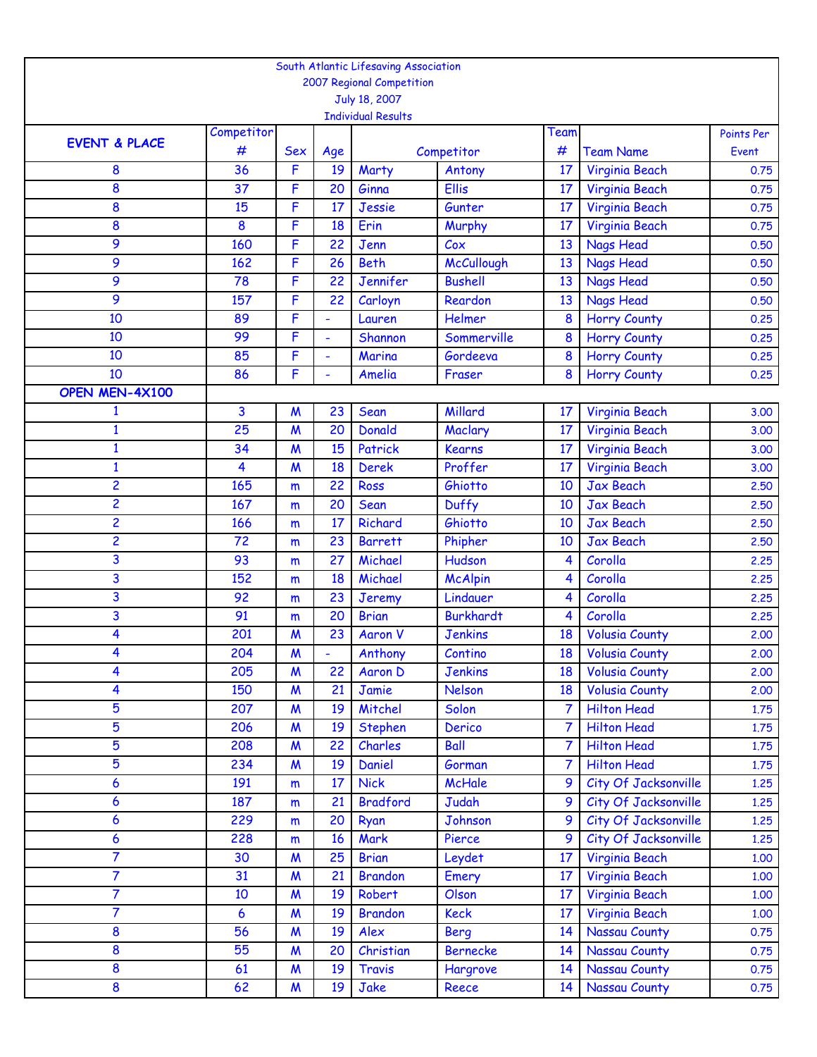|                          |                  |                       |                | South Atlantic Lifesaving Association      |                                |                |                                        |              |
|--------------------------|------------------|-----------------------|----------------|--------------------------------------------|--------------------------------|----------------|----------------------------------------|--------------|
|                          |                  |                       |                | 2007 Regional Competition                  |                                |                |                                        |              |
|                          |                  |                       |                | July 18, 2007<br><b>Individual Results</b> |                                |                |                                        |              |
|                          | Competitor       |                       |                |                                            |                                | Team           |                                        | Points Per   |
| <b>EVENT &amp; PLACE</b> | #                | Sex                   | Age            |                                            | Competitor                     | #              | <b>Team Name</b>                       | Event        |
| 8                        | 36               | F                     | 19             | Marty                                      | Antony                         | 17             | Virginia Beach                         | 0.75         |
| 8                        | 37               | F                     | 20             | Ginna                                      | Ellis                          | 17             | Virginia Beach                         | 0.75         |
| 8                        | 15               | F                     | 17             | Jessie                                     | Gunter                         | 17             | Virginia Beach                         | 0.75         |
| 8                        | 8                | F                     | 18             | Erin                                       | Murphy                         | 17             | Virginia Beach                         | 0.75         |
| 9                        | 160              | F                     | 22             | Jenn                                       | C <sub>ox</sub>                | 13             | <b>Nags Head</b>                       | 0.50         |
| 9                        | 162              | F                     | 26             | <b>Beth</b>                                | McCullough                     | 13             | <b>Nags Head</b>                       | 0.50         |
| 9                        | 78               | F                     | 22             | <b>Jennifer</b>                            | <b>Bushell</b>                 | 13             | <b>Nags Head</b>                       | 0.50         |
| 9                        | 157              | F                     | 22             | Carloyn                                    | Reardon                        | 13             | <b>Nags Head</b>                       | 0.50         |
| 10                       | 89               | F                     | $\blacksquare$ | Lauren                                     | Helmer                         | 8              | <b>Horry County</b>                    | 0.25         |
| 10                       | 99               | F                     | ÷,             | Shannon                                    | Sommerville                    | 8              | <b>Horry County</b>                    | 0.25         |
| 10                       | 85               | F                     | $\blacksquare$ | Marina                                     | Gordeeva                       | 8              | <b>Horry County</b>                    | 0.25         |
| 10                       | 86               | F                     | $\blacksquare$ | Amelia                                     | Fraser                         | 8              | <b>Horry County</b>                    | 0.25         |
| OPEN MEN-4X100           |                  |                       |                |                                            |                                |                |                                        |              |
| 1                        | 3                | $\boldsymbol{M}$      | 23             | Sean                                       | Millard                        | 17             | Virginia Beach                         | 3.00         |
| $\mathbf{1}$             | 25               | $\boldsymbol{M}$      | 20             | <b>Donald</b>                              | Maclary                        | 17             | Virginia Beach                         | 3.00         |
| $\mathbf{1}$             | 34               | $\boldsymbol{M}$      | 15             | Patrick                                    | <b>Kearns</b>                  | 17             | Virginia Beach                         | 3.00         |
| $\mathbf{1}$             | 4                | $\boldsymbol{M}$      | 18             | <b>Derek</b>                               | Proffer                        | 17             | Virginia Beach                         | 3.00         |
| $\overline{c}$           | 165              | m                     | 22             | <b>Ross</b>                                | Ghiotto                        | 10             | <b>Jax Beach</b>                       | 2.50         |
| $\overline{c}$           | 167              | m                     | 20             | Sean                                       | Duffy                          | 10             | <b>Jax Beach</b>                       | 2.50         |
| $\overline{c}$           | 166              | m                     | 17             | Richard                                    | Ghiotto                        | 10             | <b>Jax Beach</b>                       | 2.50         |
| $\overline{c}$           | 72               | m                     | 23             | <b>Barrett</b>                             | Phipher                        | 10             | <b>Jax Beach</b>                       | 2.50         |
| 3                        | 93               | m                     | 27             | Michael                                    | Hudson                         | 4              | Corolla                                | 2.25         |
| 3                        | 152              | m                     | 18             | Michael                                    | <b>McAlpin</b>                 | 4              | Corolla                                | 2.25         |
| 3                        | 92               | m                     | 23             | Jeremy                                     | Lindauer                       | 4              | Corolla                                | 2.25         |
| 3                        | 91               | m                     | 20             | <b>Brian</b>                               | <b>Burkhardt</b>               | 4              | Corolla                                | 2.25         |
| 4                        | 201              | $\boldsymbol{M}$      | 23             | <b>Aaron V</b>                             | <b>Jenkins</b>                 | 18             | <b>Volusia County</b>                  | 2.00         |
| 4                        | 204              | W                     |                | Anthony                                    | Contino                        | 18             | <b>Volusia County</b>                  | 2,00         |
| 4                        | 205              | $\boldsymbol{M}$      | 22             | <b>Aaron D</b>                             | <b>Jenkins</b>                 | 18             | <b>Volusia County</b>                  | 2.00         |
| $\overline{\mathbf{4}}$  | 150              | M                     | 21             | Jamie                                      | <b>Nelson</b>                  | 18             | <b>Volusia County</b>                  | 2.00         |
| 5                        | 207              | M                     | 19             | Mitchel                                    | Solon                          | $\overline{7}$ | <b>Hilton Head</b>                     | 1.75         |
| 5                        | 206              | $\boldsymbol{M}$      | 19             | Stephen                                    | Derico                         | $\overline{7}$ | <b>Hilton Head</b>                     | 1.75         |
| 5                        | 208              | M                     | 22             | Charles                                    | Ball                           | $\overline{7}$ | <b>Hilton Head</b>                     | 1.75         |
| 5                        | 234              | $\boldsymbol{M}$      | 19             | Daniel                                     | Gorman                         | $\overline{7}$ | <b>Hilton Head</b>                     | 1.75         |
| 6                        | 191              | m                     | 17             | <b>Nick</b>                                | McHale                         | 9              | City Of Jacksonville                   | 1.25         |
| 6                        | 187              | m                     | 21             | <b>Bradford</b>                            | Judah                          | 9              | City Of Jacksonville                   | 1,25         |
| 6<br>6                   | 229              | m                     | 20             | Ryan                                       | Johnson                        | 9<br>9         | City Of Jacksonville                   | 1.25         |
| $\overline{7}$           | 228<br>30        | m<br>$\boldsymbol{M}$ | 16<br>25       | Mark<br><b>Brian</b>                       | Pierce                         | 17             | City Of Jacksonville<br>Virginia Beach | 1.25         |
| $\overline{7}$           | 31               | M                     | 21             | <b>Brandon</b>                             | Leydet                         | 17             | Virginia Beach                         | 1.00         |
| $\overline{7}$           | 10               | $\boldsymbol{M}$      | 19             | Robert                                     | Emery<br>Olson                 | 17             |                                        | 1,00         |
| $\overline{7}$           | $\boldsymbol{6}$ | M                     | 19             | <b>Brandon</b>                             | <b>Keck</b>                    | 17             | Virginia Beach<br>Virginia Beach       | 1.00         |
| 8                        | 56               | $\boldsymbol{M}$      | 19             | Alex                                       |                                | 14             | Nassau County                          | 1.00<br>0.75 |
| 8                        | 55               | $\boldsymbol{M}$      | 20             | Christian                                  | <b>Berg</b><br><b>Bernecke</b> | 14             | <b>Nassau County</b>                   | 0.75         |
| 8                        | 61               | M                     | 19             | <b>Travis</b>                              | Hargrove                       | 14             | Nassau County                          | 0.75         |
| 8                        | 62               | $\boldsymbol{M}$      | 19             | Jake                                       | Reece                          | 14             | Nassau County                          | 0.75         |
|                          |                  |                       |                |                                            |                                |                |                                        |              |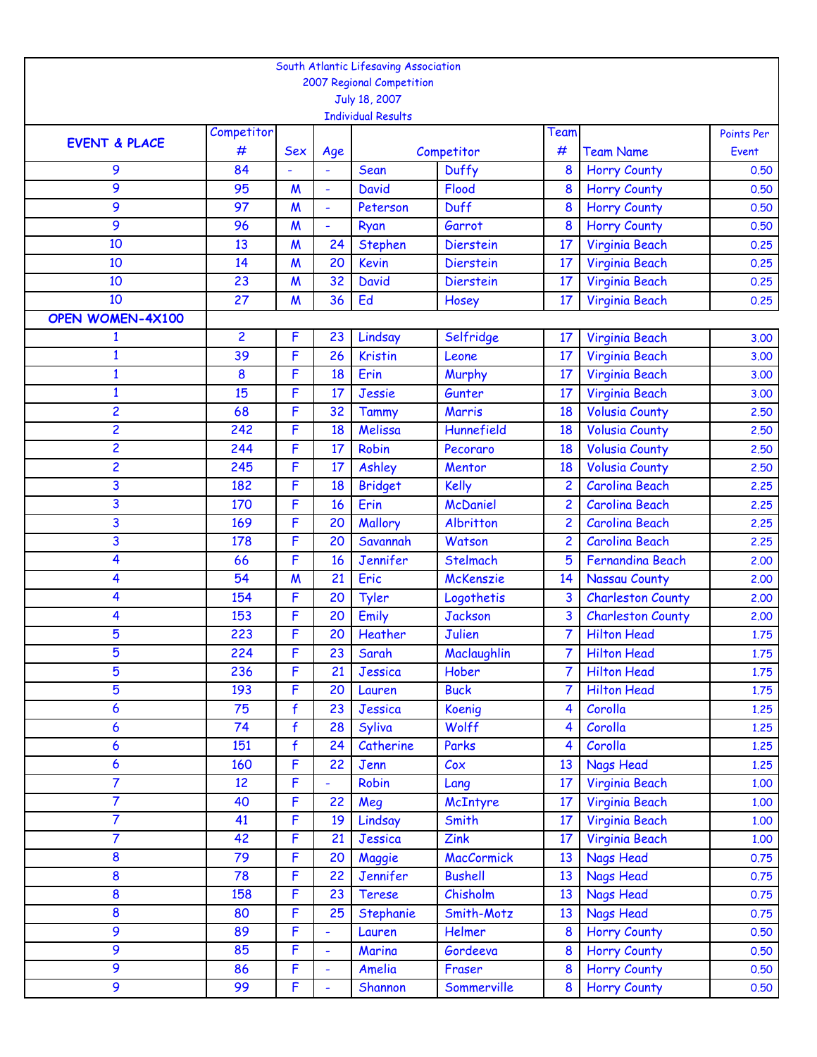|                          |                |                  |                 | South Atlantic Lifesaving Association |                   |                         |                          |                     |
|--------------------------|----------------|------------------|-----------------|---------------------------------------|-------------------|-------------------------|--------------------------|---------------------|
|                          |                |                  |                 | 2007 Regional Competition             |                   |                         |                          |                     |
|                          |                |                  |                 | July 18, 2007                         |                   |                         |                          |                     |
|                          | Competitor     |                  |                 | <b>Individual Results</b>             |                   | Team                    |                          |                     |
| <b>EVENT &amp; PLACE</b> | #              | <b>Sex</b>       |                 |                                       | Competitor        | #                       | <b>Team Name</b>         | Points Per<br>Event |
| 9                        | 84             |                  | Age             | Sean                                  | Duffy             | 8                       | <b>Horry County</b>      | 0.50                |
| 9                        | 95             | $\boldsymbol{M}$ | $\blacksquare$  | <b>David</b>                          | Flood             | 8                       | <b>Horry County</b>      | 0.50                |
| 9                        | 97             | $\boldsymbol{M}$ | L,              | Peterson                              | <b>Duff</b>       | 8                       | <b>Horry County</b>      | 0.50                |
| 9                        | 96             | $\boldsymbol{M}$ | ÷               | Ryan                                  | Garrot            | 8                       | <b>Horry County</b>      | 0.50                |
| 10                       | 13             | $\boldsymbol{M}$ | 24              | <b>Stephen</b>                        | <b>Dierstein</b>  | 17                      | Virginia Beach           | 0.25                |
| 10                       | 14             | $\boldsymbol{M}$ | 20              | <b>Kevin</b>                          | <b>Dierstein</b>  | 17                      | Virginia Beach           | 0.25                |
| 10                       | 23             | $\boldsymbol{M}$ | 32              | <b>David</b>                          | <b>Dierstein</b>  | 17                      | Virginia Beach           | 0.25                |
| 10                       | 27             | $\boldsymbol{M}$ | 36              | Ed                                    | Hosey             | 17                      | Virginia Beach           | 0.25                |
| <b>OPEN WOMEN-4X100</b>  |                |                  |                 |                                       |                   |                         |                          |                     |
| $\mathbf{1}$             | $\overline{2}$ | F                | 23              | Lindsay                               | Selfridge         | 17                      | Virginia Beach           | 3.00                |
| $\mathbf{1}$             | 39             | F                | 26              | <b>Kristin</b>                        | Leone             | 17                      | Virginia Beach           | 3.00                |
| $\mathbf{1}$             | 8              | F                | 18              | Erin                                  | Murphy            | 17                      | Virginia Beach           | 3,00                |
| $\mathbf{1}$             | 15             | F                | 17              | Jessie                                | Gunter            | 17                      | Virginia Beach           | 3.00                |
| 2                        | 68             | F                | 32              | Tammy                                 | Marris            | 18                      | <b>Volusia County</b>    | 2.50                |
| 2                        | 242            | F                | 18              | Melissa                               | Hunnefield        | 18                      | <b>Volusia County</b>    | 2,50                |
| 2                        | 244            | F                | 17              | Robin                                 | Pecoraro          | 18                      | <b>Volusia County</b>    | 2.50                |
| 2                        | 245            | F                | 17              | Ashley                                | Mentor            | 18                      | <b>Volusia County</b>    | 2.50                |
| 3                        | 182            | F                | 18              | <b>Bridget</b>                        | <b>Kelly</b>      | $\overline{c}$          | <b>Carolina Beach</b>    | 2.25                |
| 3                        | 170            | F                | 16              | Erin                                  | <b>McDaniel</b>   | $\overline{2}$          | <b>Carolina Beach</b>    | 2.25                |
| 3                        | 169            | F                | 20              | Mallory                               | Albritton         | 2                       | <b>Carolina Beach</b>    | 2.25                |
| 3                        | 178            | F                | 20              | Savannah                              | Watson            | $\overline{2}$          | <b>Carolina Beach</b>    | 2.25                |
| 4                        | 66             | F                | 16              | Jennifer                              | Stelmach          | 5                       | <b>Fernandina Beach</b>  | 2,00                |
| 4                        | 54             | $\boldsymbol{M}$ | 21              | Eric                                  | McKenszie         | 14                      | Nassau County            | 2.00                |
| 4                        | 154            | F                | 20              | Tyler                                 | Logothetis        | 3                       | <b>Charleston County</b> | 2.00                |
| 4                        | 153            | F                | 20              | Emily                                 | <b>Jackson</b>    | 3                       | <b>Charleston County</b> | 2.00                |
| 5                        | 223            | F                | 20              | Heather                               | Julien            | 7                       | <b>Hilton Head</b>       | 1.75                |
| 5                        | 224            | F                | 23 <sup>°</sup> | Sarah                                 | Maclaughlin       | 7 <sup>1</sup>          | <b>Hilton Head</b>       | 1.75                |
| 5                        | 236            | F                | 21              | Jessica                               | Hober             |                         | <b>Hilton Head</b>       | 1.75                |
| 5                        | 193            | F                | 20              | Lauren                                | <b>Buck</b>       | 7                       | <b>Hilton Head</b>       | 1.75                |
| 6                        | 75             | $\mathbf{f}$     | 23              | Jessica                               | Koenig            | 4                       | Corolla                  | 1.25                |
| 6                        | 74             | $\mathbf{f}$     | 28              | Syliva                                | Wolff             | $\overline{\mathbf{4}}$ | Corolla                  | 1.25                |
| 6                        | 151            | $\mathbf{f}$     | 24              | Catherine                             | Parks             | 4                       | Corolla                  | 1.25                |
| 6                        | 160            | F                | 22              | Jenn                                  | $\mathcal{C}$ ox  | 13                      | <b>Nags Head</b>         | 1.25                |
| 7                        | 12             | F                |                 | Robin                                 | Lang              | 17                      | Virginia Beach           | 1.00                |
| $\overline{7}$           | 40             | F                | 22              | Meg                                   | McIntyre          | 17                      | Virginia Beach           | 1,00                |
| 7                        | 41             | F                | 19              | Lindsay                               | Smith             | 17 <sup>2</sup>         | Virginia Beach           | 1,00                |
| 7                        | 42             | F                | 21              | Jessica                               | Zink              | 17                      | Virginia Beach           | 1.00                |
| 8                        | 79             | F                | 20              | Maggie                                | <b>MacCormick</b> | 13                      | <b>Nags Head</b>         | 0.75                |
| 8                        | 78             | F                | 22              | Jennifer                              | <b>Bushell</b>    | 13                      | <b>Nags Head</b>         | 0.75                |
| 8                        | 158            | F                | 23              | <b>Terese</b>                         | Chisholm          | 13                      | <b>Nags Head</b>         | 0.75                |
| 8                        | 80             | F                | 25              | Stephanie                             | Smith-Motz        | 13                      | <b>Nags Head</b>         | 0.75                |
| 9                        | 89             | F                | ÷,              | Lauren                                | Helmer            | 8                       | <b>Horry County</b>      | 0.50                |
| 9                        | 85             | F                | ÷,              | Marina                                | Gordeeva          | 8                       | <b>Horry County</b>      | 0.50                |
| 9                        | 86             | F                | ÷,              | Amelia                                | Fraser            | 8                       | <b>Horry County</b>      | 0.50                |
| 9                        | 99             | F                | ÷,              | Shannon                               | Sommerville       | 8                       | <b>Horry County</b>      | 0.50                |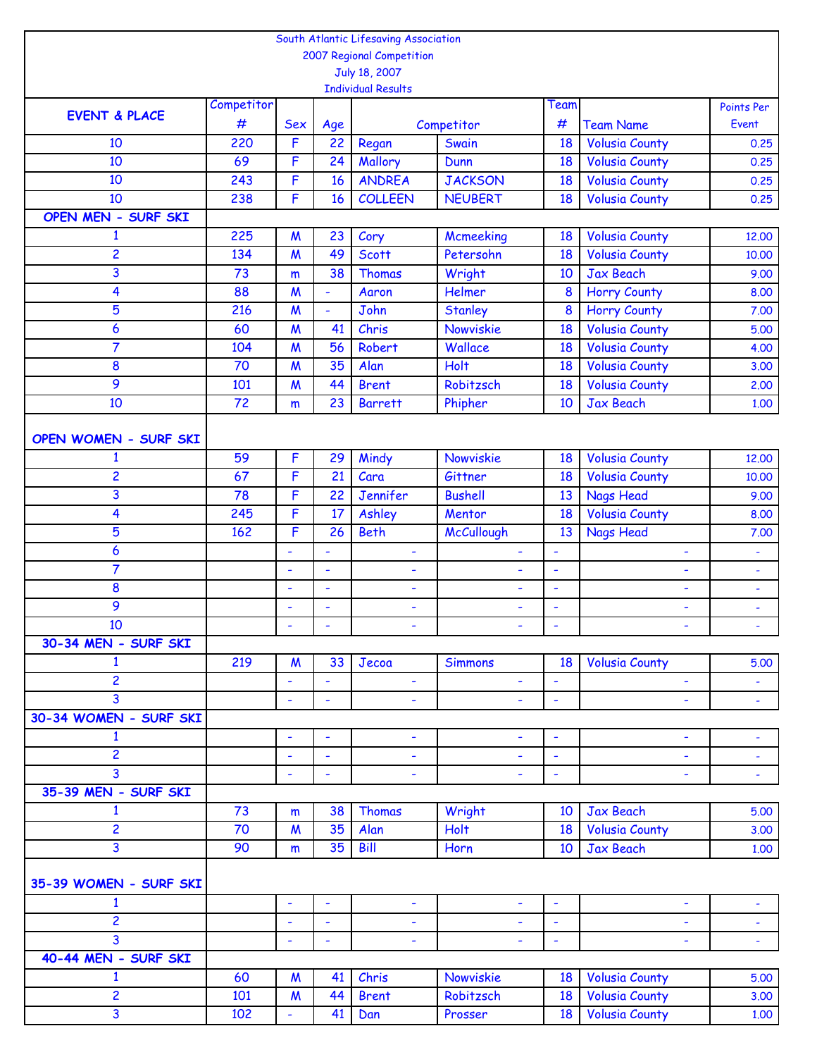|                                |                 |                  |     | South Atlantic Lifesaving Association |                |                          |                          |                     |
|--------------------------------|-----------------|------------------|-----|---------------------------------------|----------------|--------------------------|--------------------------|---------------------|
|                                |                 |                  |     | 2007 Regional Competition             |                |                          |                          |                     |
|                                |                 |                  |     | July 18, 2007                         |                |                          |                          |                     |
|                                |                 |                  |     | <b>Individual Results</b>             |                |                          |                          |                     |
| <b>EVENT &amp; PLACE</b>       | Competitor<br># | <b>Sex</b>       | Age |                                       | Competitor     | Team<br>#                | <b>Team Name</b>         | Points Per<br>Event |
| 10                             | 220             | F                | 22  | Regan                                 | Swain          | 18                       | <b>Volusia County</b>    | 0.25                |
| 10                             | 69              | F                | 24  | Mallory                               | Dunn           | 18                       | <b>Volusia County</b>    | 0.25                |
| 10                             | 243             | F                | 16  | <b>ANDREA</b>                         | <b>JACKSON</b> | 18                       | <b>Volusia County</b>    | 0.25                |
| 10                             | 238             | F                | 16  | <b>COLLEEN</b>                        | <b>NEUBERT</b> | 18                       | <b>Volusia County</b>    | 0.25                |
| OPEN MEN - SURF SKI            |                 |                  |     |                                       |                |                          |                          |                     |
| 1                              | 225             | $\boldsymbol{M}$ | 23  | Cory                                  | Mcmeeking      | 18                       | <b>Volusia County</b>    | 12.00               |
| 2                              | 134             | $\boldsymbol{M}$ | 49  | <b>Scott</b>                          | Petersohn      | 18                       | <b>Volusia County</b>    | 10.00               |
| 3                              | 73              | m                | 38  | Thomas                                | Wright         | 10                       | <b>Jax Beach</b>         | 9.00                |
| 4                              | 88              | $\boldsymbol{M}$ | ÷,  | Aaron                                 | Helmer         | 8                        | <b>Horry County</b>      | 8.00                |
| 5                              | 216             | $\boldsymbol{M}$ | ÷,  | John                                  | <b>Stanley</b> | 8                        | <b>Horry County</b>      | 7.00                |
| 6                              | 60              | $\boldsymbol{M}$ | 41  | Chris                                 | Nowviskie      | 18                       | <b>Volusia County</b>    | 5.00                |
| 7                              | 104             | $\boldsymbol{M}$ | 56  | Robert                                | Wallace        | 18                       | <b>Volusia County</b>    | 4.00                |
| 8                              | 70              | $\boldsymbol{M}$ | 35  | Alan                                  | Holt           | 18                       | <b>Volusia County</b>    | 3.00                |
| 9                              | 101             | $\boldsymbol{M}$ | 44  | <b>Brent</b>                          | Robitzsch      | 18                       | <b>Volusia County</b>    | 2.00                |
| 10                             | 72              | m                | 23  | <b>Barrett</b>                        | Phipher        | 10                       | <b>Jax Beach</b>         | 1.00                |
|                                |                 |                  |     |                                       |                |                          |                          |                     |
| OPEN WOMEN - SURF SKI          |                 |                  |     |                                       |                |                          |                          |                     |
| $\mathbf{1}$                   | 59              | $\mathsf F$      | 29  | Mindy                                 | Nowviskie      | 18                       | <b>Volusia County</b>    | 12.00               |
| 2                              | 67              | F                | 21  | Cara                                  | Gittner        | 18                       | <b>Volusia County</b>    | 10.00               |
| 3                              | 78              | F                | 22  | Jennifer                              | <b>Bushell</b> | 13                       | <b>Nags Head</b>         | 9.00                |
| 4                              | 245             | F                | 17  | Ashley                                | Mentor         | 18                       | <b>Volusia County</b>    | 8.00                |
| 5                              | 162             | F                | 26  | <b>Beth</b>                           | McCullough     | 13                       | <b>Nags Head</b>         | 7.00                |
| 6                              |                 |                  | ۰   | ۰                                     | ۰              | ٠                        | ٠                        | ٠                   |
| 7                              |                 | L,               | ÷,  | ÷                                     | ÷,             | ä,                       | $\ddot{\phantom{1}}$     | $\blacksquare$      |
| 8                              |                 | ÷,               | ÷,  | ۰                                     | ÷,             | $\blacksquare$           | ÷                        | $\blacksquare$      |
| 9                              |                 | ÷                | ÷   | ۰                                     | ÷              | ÷                        | ÷                        | ÷                   |
| 10                             |                 |                  | ÷   |                                       |                | ÷                        |                          |                     |
| 30-34 MEN - SURF SKI           |                 |                  |     |                                       |                |                          |                          |                     |
| $\mathbf{1}$                   | 219             | $\boldsymbol{M}$ | 33  | Jecoa                                 | <b>Simmons</b> | 18                       | <b>Volusia County</b>    | 5.00                |
| $\overline{2}$                 |                 | ÷,               | ÷,  | ٠                                     | $\blacksquare$ | $\overline{\phantom{a}}$ | ÷,                       | $\blacksquare$      |
| 3                              |                 | ÷,               | L,  | ÷,                                    | ÷.             | $\blacksquare$           |                          | $\blacksquare$      |
| 30-34 WOMEN - SURF SKI         |                 |                  |     |                                       |                |                          |                          |                     |
| $\mathbf{1}$                   |                 | L,               | ä,  | ÷                                     | ÷,             | $\overline{\phantom{a}}$ | ÷,                       | $\blacksquare$      |
| $\overline{\mathbf{c}}$        |                 | ÷,               | ÷,  | ٠                                     | ٠              | $\overline{\phantom{a}}$ | $\blacksquare$           | $\blacksquare$      |
| 3                              |                 | ÷,               | ۰   | ٠                                     | ۰              | $\overline{\phantom{a}}$ | ÷,                       | $\blacksquare$      |
| 35-39 MEN - SURF SKI           |                 |                  |     |                                       |                |                          |                          |                     |
| $\mathbf{1}$                   | 73              | m                | 38  | Thomas                                | Wright         | 10                       | Jax Beach                | 5.00                |
| $\overline{2}$                 | 70              | $\boldsymbol{M}$ | 35  | Alan                                  | Holt           | 18                       | <b>Volusia County</b>    | 3.00                |
| 3                              | 90              | m                | 35  | Bill                                  | Horn           | 10                       | <b>Jax Beach</b>         | 1.00                |
|                                |                 |                  |     |                                       |                |                          |                          |                     |
| 35-39 WOMEN - SURF SKI         |                 |                  |     |                                       |                |                          |                          |                     |
| $\mathbf{1}$<br>$\overline{2}$ |                 | ÷                | ÷   | ۰                                     | ۰              | $\overline{\phantom{a}}$ | ٠                        | ۰                   |
| 3                              |                 | ÷,               | ÷,  | ۰                                     | ۰              | $\overline{\phantom{a}}$ | $\overline{\phantom{a}}$ | $\blacksquare$      |
| 40-44 MEN - SURF SKI           |                 | ÷,               | ÷,  | ۰                                     | ÷,             | $\overline{\phantom{a}}$ | $\blacksquare$           | $\blacksquare$      |
| $\mathbf{1}$                   | 60              | $\boldsymbol{M}$ | 41  | Chris                                 | Nowviskie      | 18                       | <b>Volusia County</b>    | 5.00                |
| $\overline{\mathbf{c}}$        | 101             | $\boldsymbol{M}$ | 44  | <b>Brent</b>                          | Robitzsch      | 18                       | <b>Volusia County</b>    | 3.00                |
| $\overline{\mathbf{3}}$        | 102             |                  | 41  | Dan                                   | Prosser        | 18                       | <b>Volusia County</b>    | 1.00                |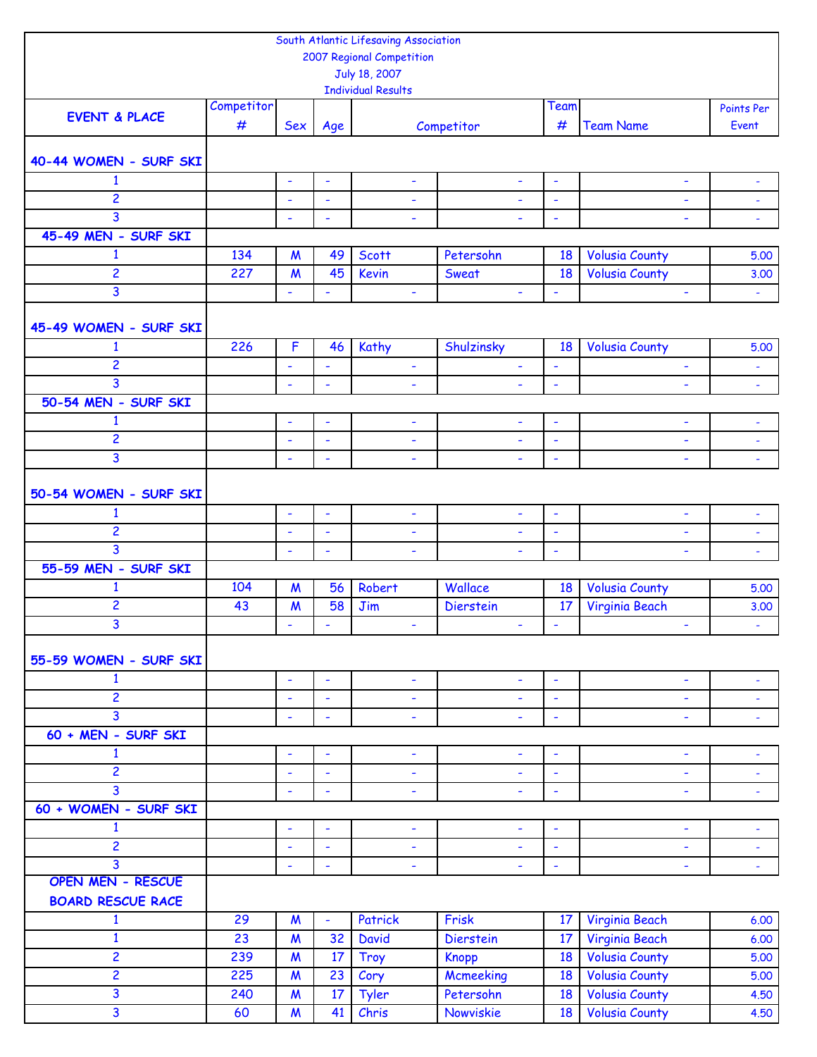|                          |            |                          |                          | South Atlantic Lifesaving Association |                          |                          |                       |                          |
|--------------------------|------------|--------------------------|--------------------------|---------------------------------------|--------------------------|--------------------------|-----------------------|--------------------------|
|                          |            |                          |                          | 2007 Regional Competition             |                          |                          |                       |                          |
|                          |            |                          |                          | July 18, 2007                         |                          |                          |                       |                          |
|                          |            |                          |                          | <b>Individual Results</b>             |                          |                          |                       |                          |
| <b>EVENT &amp; PLACE</b> | Competitor |                          |                          |                                       |                          | Team                     |                       | Points Per               |
|                          | #          | <b>Sex</b>               | Age                      |                                       | Competitor               | #                        | <b>Team Name</b>      | Event                    |
|                          |            |                          |                          |                                       |                          |                          |                       |                          |
| 40-44 WOMEN - SURF SKI   |            |                          |                          |                                       |                          |                          |                       |                          |
| $\mathbf{1}$             |            | $\blacksquare$           | ä,                       | ÷,                                    | $\blacksquare$           | $\blacksquare$           | ÷,                    |                          |
| 2                        |            | ÷                        | ÷,                       | $\overline{\phantom{a}}$              |                          | ÷,                       | ÷,                    | $\overline{\phantom{a}}$ |
| 3                        |            | ÷,                       | ÷,                       | $\overline{\phantom{a}}$              | $\blacksquare$           | $\blacksquare$           | ÷,                    | $\blacksquare$           |
| 45-49 MEN - SURF SKI     |            |                          |                          |                                       |                          |                          |                       |                          |
| $\mathbf{1}$             | 134        | $\boldsymbol{M}$         | 49                       | <b>Scott</b>                          | Petersohn                | 18                       | <b>Volusia County</b> | 5.00                     |
| $\overline{c}$           | 227        | $\boldsymbol{M}$         | 45                       | <b>Kevin</b>                          | Sweat                    | 18                       | <b>Volusia County</b> | 3.00                     |
| $\overline{3}$           |            | $\blacksquare$           | ÷,                       | $\blacksquare$                        | $\blacksquare$           | $\blacksquare$           | L                     | $\blacksquare$           |
|                          |            |                          |                          |                                       |                          |                          |                       |                          |
| 45-49 WOMEN - SURF SKI   |            |                          |                          |                                       |                          |                          |                       |                          |
| $\mathbf{1}$             | 226        | $\mathsf{F}$             | 46                       | Kathy                                 | Shulzinsky               | 18                       | <b>Volusia County</b> | 5.00                     |
| $\overline{c}$           |            | ä,                       | ä,                       | $\overline{\phantom{a}}$              | $\blacksquare$           | $\overline{\phantom{a}}$ | ÷,                    | $\blacksquare$           |
| $\overline{3}$           |            | $\overline{\phantom{a}}$ | ٠                        | ٠                                     | $\overline{\phantom{a}}$ | ÷                        | ÷,                    | $\blacksquare$           |
| 50-54 MEN - SURF SKI     |            |                          |                          |                                       |                          |                          |                       |                          |
| $\mathbf{1}$             |            | $\blacksquare$           | $\blacksquare$           | $\overline{\phantom{a}}$              | $\blacksquare$           | $\overline{\phantom{a}}$ | $\blacksquare$        | $\overline{\phantom{a}}$ |
| 2                        |            | ÷                        | ÷                        | ۰                                     | ÷                        | ÷                        | ٠                     | $\blacksquare$           |
| 3                        |            | ÷,                       | ÷,                       | ÷,                                    | $\blacksquare$           | $\overline{\phantom{a}}$ | $\blacksquare$        | $\Box$                   |
|                          |            |                          |                          |                                       |                          |                          |                       |                          |
| 50-54 WOMEN - SURF SKI   |            |                          |                          |                                       |                          |                          |                       |                          |
| $\mathbf{1}$             |            | $\blacksquare$           | ÷,                       | ÷                                     | $\blacksquare$           | $\blacksquare$           | ÷                     | $\blacksquare$           |
| $\overline{c}$           |            | $\blacksquare$           | Ĭ.                       | $\overline{\phantom{a}}$              | L,                       | $\overline{\phantom{a}}$ | ÷,                    | $\blacksquare$           |
| 3                        |            | $\blacksquare$           | $\blacksquare$           | $\overline{\phantom{a}}$              |                          |                          | ÷,                    |                          |
| 55-59 MEN - SURF SKI     |            |                          |                          |                                       |                          |                          |                       |                          |
| $\mathbf{1}$             | 104        | $\boldsymbol{M}$         | 56                       | Robert                                | Wallace                  | 18                       | <b>Volusia County</b> | 5.00                     |
| $\overline{c}$           | 43         | $\boldsymbol{M}$         | 58                       | Jim                                   | <b>Dierstein</b>         | 17                       | Virginia Beach        | 3.00                     |
| 3                        |            | $\blacksquare$           | $\overline{\phantom{a}}$ |                                       |                          | $\blacksquare$           |                       |                          |
|                          |            |                          |                          | ۰                                     | ÷                        |                          | ۳                     | ۰                        |
| 55-59 WOMEN - SURF SKI   |            |                          |                          |                                       |                          |                          |                       |                          |
| $\mathbf{1}$             |            |                          |                          |                                       |                          |                          |                       |                          |
| $\overline{2}$           |            | $\blacksquare$           | $\blacksquare$           | ÷                                     | $\blacksquare$           | $\overline{\phantom{a}}$ | ٠                     | $\blacksquare$           |
| 3                        |            | ÷,                       | ÷,                       | $\blacksquare$                        | $\blacksquare$           | $\blacksquare$           | ÷,                    | $\overline{\phantom{a}}$ |
| 60 + MEN - SURF SKI      |            | $\blacksquare$           | ÷,                       | $\blacksquare$                        | $\blacksquare$           | $\blacksquare$           | L,                    | $\blacksquare$           |
|                          |            |                          |                          |                                       |                          |                          |                       |                          |
| $\mathbf{1}$             |            | $\blacksquare$           | ä,                       | $\blacksquare$                        | $\blacksquare$           | $\overline{\phantom{a}}$ | $\blacksquare$        | $\blacksquare$           |
| $\overline{2}$           |            | $\blacksquare$           | $\blacksquare$           | $\blacksquare$                        | $\blacksquare$           | $\blacksquare$           | ٠                     | $\blacksquare$           |
| 3                        |            | $\blacksquare$           | $\blacksquare$           | ٠                                     | $\blacksquare$           | $\overline{\phantom{a}}$ | L,                    | $\blacksquare$           |
| 60 + WOMEN - SURF SKI    |            |                          |                          |                                       |                          |                          |                       |                          |
| $\mathbf{1}$             |            | $\blacksquare$           | ÷,                       | $\blacksquare$                        | $\blacksquare$           | $\overline{\phantom{a}}$ | $\blacksquare$        | ÷,                       |
| $\overline{2}$           |            | $\blacksquare$           | ÷,                       | $\overline{\phantom{a}}$              | ۰                        | $\blacksquare$           | ÷,                    | $\blacksquare$           |
| $\overline{3}$           |            | ÷                        | ÷                        | ٠                                     | $\blacksquare$           | $\blacksquare$           | ٠                     | $\blacksquare$           |
| <b>OPEN MEN - RESCUE</b> |            |                          |                          |                                       |                          |                          |                       |                          |
| <b>BOARD RESCUE RACE</b> |            |                          |                          |                                       |                          |                          |                       |                          |
| $\mathbf{1}$             | 29         | $\boldsymbol{M}$         | $\blacksquare$           | Patrick                               | Frisk                    | 17                       | Virginia Beach        | 6.00                     |
| $\mathbf{1}$             | 23         | $\boldsymbol{M}$         | 32                       | <b>David</b>                          | Dierstein                | 17                       | Virginia Beach        | 6.00                     |
| 2                        | 239        | $\boldsymbol{M}$         | 17                       | <b>Troy</b>                           | <b>Knopp</b>             | 18                       | <b>Volusia County</b> | 5.00                     |
| $\overline{2}$           | 225        | $\boldsymbol{M}$         | 23                       | Cory                                  | Mcmeeking                | 18                       | <b>Volusia County</b> | 5.00                     |
| 3                        | 240        | $\boldsymbol{M}$         | 17                       | Tyler                                 | Petersohn                | 18                       | <b>Volusia County</b> | 4.50                     |
| $\overline{3}$           | 60         | $\boldsymbol{M}$         | 41                       | Chris                                 | Nowviskie                | 18                       | <b>Volusia County</b> | 4.50                     |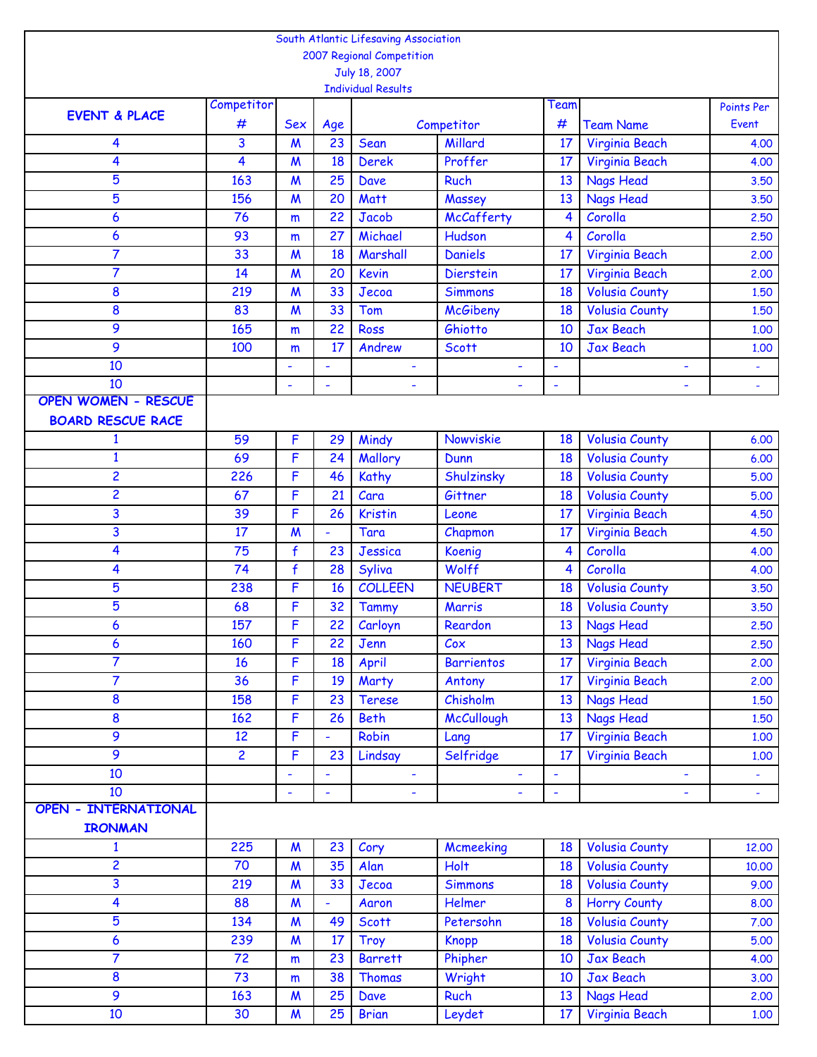|                             |                |                  |                 | South Atlantic Lifesaving Association |                   |                  |                       |                      |
|-----------------------------|----------------|------------------|-----------------|---------------------------------------|-------------------|------------------|-----------------------|----------------------|
|                             |                |                  |                 | 2007 Regional Competition             |                   |                  |                       |                      |
|                             |                |                  |                 | July 18, 2007                         |                   |                  |                       |                      |
|                             | Competitor     |                  |                 | <b>Individual Results</b>             |                   | Team             |                       |                      |
| <b>EVENT &amp; PLACE</b>    | #              | <b>Sex</b>       |                 |                                       | Competitor        | #                | <b>Team Name</b>      | Points Per<br>Event  |
| 4                           | 3              | M                | Age<br>23       | Sean                                  | Millard           | 17               | Virginia Beach        | 4.00                 |
| 4                           | 4              | $\boldsymbol{M}$ | 18              | <b>Derek</b>                          | Proffer           | 17               | Virginia Beach        | 4.00                 |
| 5                           | 163            | $\boldsymbol{M}$ | 25              | <b>Dave</b>                           | <b>Ruch</b>       | 13               | <b>Nags Head</b>      | 3.50                 |
| 5                           | 156            | $\boldsymbol{M}$ | 20              | Matt                                  | Massey            | 13               | <b>Nags Head</b>      | 3.50                 |
| 6                           | 76             | m                | 22              | <b>Jacob</b>                          | McCafferty        | 4                | Corolla               | 2,50                 |
| 6                           | 93             | m                | 27              | Michael                               | Hudson            | 4                | Corolla               | 2,50                 |
| 7                           | 33             | $\boldsymbol{M}$ | 18              | Marshall                              | <b>Daniels</b>    | 17               | Virginia Beach        | 2.00                 |
| 7                           | 14             | $\boldsymbol{M}$ | 20              | <b>Kevin</b>                          | <b>Dierstein</b>  | 17               | Virginia Beach        | 2.00                 |
| 8                           | 219            | $\boldsymbol{M}$ | 33              | Jecoa                                 | <b>Simmons</b>    | 18               | <b>Volusia County</b> | 1,50                 |
| 8                           | 83             | $\boldsymbol{M}$ | 33              | Tom                                   | <b>McGibeny</b>   | 18               | <b>Volusia County</b> | 1.50                 |
| 9                           | 165            | m                | 22              | <b>Ross</b>                           | Ghiotto           | 10               | <b>Jax Beach</b>      | 1.00                 |
| 9                           | 100            | m                | 17              | Andrew                                | <b>Scott</b>      | 10               | <b>Jax Beach</b>      | 1,00                 |
| 10                          |                |                  | ۰               | ۰                                     |                   | ٠                |                       | ٠                    |
| 10                          |                | L,               | ÷,              |                                       |                   | $\blacksquare$   |                       | $\blacksquare$       |
| <b>OPEN WOMEN - RESCUE</b>  |                |                  |                 |                                       |                   |                  |                       |                      |
| <b>BOARD RESCUE RACE</b>    |                |                  |                 |                                       |                   |                  |                       |                      |
| 1                           | 59             | F                | 29              | Mindy                                 | Nowviskie         | 18               | <b>Volusia County</b> | 6.00                 |
| $\mathbf{1}$                | 69             | F                | 24              | Mallory                               | Dunn              | 18               | <b>Volusia County</b> | 6.00                 |
| 2                           | 226            | F                | 46              | Kathy                                 | Shulzinsky        | 18               | <b>Volusia County</b> | 5.00                 |
| 2                           | 67             | F                | 21              | Cara                                  | Gittner           | 18               | <b>Volusia County</b> | 5.00                 |
| 3                           | 39             | F                | 26              | <b>Kristin</b>                        | Leone             | 17               | Virginia Beach        | 4.50                 |
| 3                           | 17             | $\boldsymbol{M}$ | L,              | Tara                                  | Chapmon           | 17               | Virginia Beach        | 4.50                 |
| 4                           | 75             | $\mathbf{f}$     | 23              | Jessica                               | Koenig            | 4                | Corolla               | 4.00                 |
| 4                           | 74             | $\mathbf{f}$     | 28              | Syliva                                | Wolff             | 4                | Corolla               | 4.00                 |
| 5                           | 238            | F                | 16              | <b>COLLEEN</b>                        | <b>NEUBERT</b>    | 18               | <b>Volusia County</b> | 3.50                 |
| 5                           | 68             | F                | 32              | <b>Tammy</b>                          | Marris            | 18               | <b>Volusia County</b> | 3.50                 |
| 6                           | 157            | F                | 22 <sup>1</sup> | Carloyn                               | Reardon           | 13               | Nags Head             | 2.50                 |
| 6                           | 160            | F                | 22              | Jenn                                  | $\mathcal{C}$ ox  | 13 <sup>1</sup>  | Nags Head             | 2.50                 |
| 7                           | 16             | F                | 18              | April                                 | <b>Barrientos</b> | 17 <sup>17</sup> | Virginia Beach        | 2.00                 |
| $\overline{7}$              | 36             | F                | 19              | Marty                                 | Antony            | 17 <sup>17</sup> | Virginia Beach        | 2.00                 |
| 8                           | 158            | F                | 23              | <b>Terese</b>                         | Chisholm          | 13               | <b>Nags Head</b>      | 1.50                 |
| 8                           | 162            | F                | 26              | <b>Beth</b>                           | <b>McCullough</b> | 13               | Nags Head             | 1,50                 |
| 9                           | 12             | F                | $\blacksquare$  | Robin                                 | Lang              | 17 <sup>2</sup>  | Virginia Beach        | 1.00                 |
| 9                           | $\overline{2}$ | F                | 23              | Lindsay                               | Selfridge         | 17 <sup>2</sup>  | Virginia Beach        | 1.00                 |
| 10                          |                |                  | ۰               | $\blacksquare$                        | ٠                 | $\blacksquare$   |                       | $\frac{1}{\sqrt{2}}$ |
| 10                          |                | $\blacksquare$   | ÷,              | $\overline{\phantom{a}}$              | ÷                 | $\blacksquare$   | ÷,                    | $\omega_{\rm c}$     |
| <b>OPEN - INTERNATIONAL</b> |                |                  |                 |                                       |                   |                  |                       |                      |
| <b>IRONMAN</b>              |                |                  |                 |                                       |                   |                  |                       |                      |
| 1                           | 225            | M                | 23              | Cory                                  | <b>Mcmeeking</b>  | 18               | <b>Volusia County</b> | 12,00                |
| 2                           | 70             | $\boldsymbol{M}$ | 35              | Alan                                  | <b>Holt</b>       | 18               | <b>Volusia County</b> | 10.00                |
| 3                           | 219            | $\boldsymbol{M}$ | 33              | Jecoa                                 | <b>Simmons</b>    | 18               | <b>Volusia County</b> | 9.00                 |
| 4                           | 88             | M                |                 | Aaron                                 | Helmer            | 8                | <b>Horry County</b>   | 8.00                 |
| 5                           | 134            | $\boldsymbol{M}$ | 49              | Scott                                 | Petersohn         | 18               | <b>Volusia County</b> | 7.00                 |
| 6                           | 239            | $\boldsymbol{M}$ | 17              | <b>Troy</b>                           | <b>Knopp</b>      | 18               | <b>Volusia County</b> | 5.00                 |
| $\overline{7}$              | 72             | m                | 23              | <b>Barrett</b>                        | Phipher           | 10               | Jax Beach             | 4.00                 |
| 8                           | 73             | m                | 38              | Thomas                                | Wright            | 10 <sup>°</sup>  | Jax Beach             | 3.00                 |
| 9                           | 163            | $\boldsymbol{M}$ | 25              | Dave                                  | Ruch              | 13               | <b>Nags Head</b>      | 2.00                 |
| 10                          | 30             | $\boldsymbol{M}$ | 25              | <b>Brian</b>                          | Leydet            | 17 <sup>1</sup>  | Virginia Beach        | 1.00                 |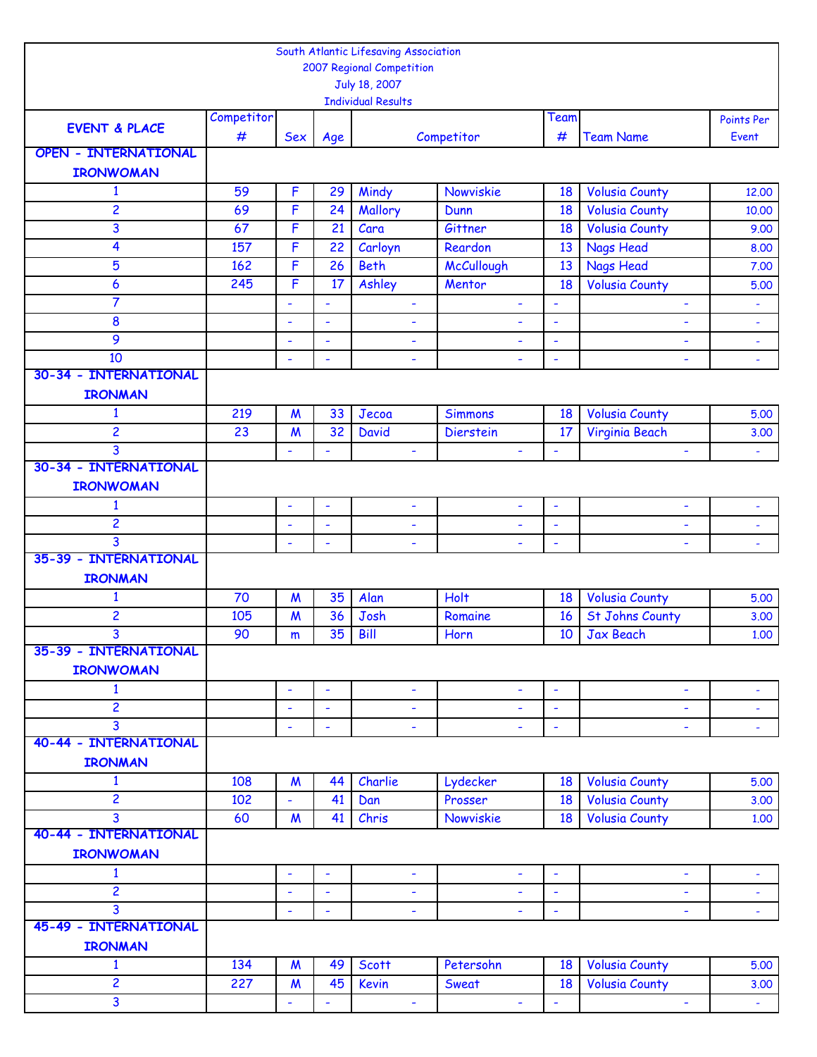|                             |            |                          |                | South Atlantic Lifesaving Association |                          |                          |                        |                          |
|-----------------------------|------------|--------------------------|----------------|---------------------------------------|--------------------------|--------------------------|------------------------|--------------------------|
|                             |            |                          |                | 2007 Regional Competition             |                          |                          |                        |                          |
|                             |            |                          |                | July 18, 2007                         |                          |                          |                        |                          |
|                             |            |                          |                | <b>Individual Results</b>             |                          |                          |                        |                          |
| <b>EVENT &amp; PLACE</b>    | Competitor |                          |                |                                       |                          | Team                     |                        | Points Per               |
| <b>OPEN - INTERNATIONAL</b> | #          | <b>Sex</b>               | Age            |                                       | Competitor               | #                        | <b>Team Name</b>       | Event                    |
|                             |            |                          |                |                                       |                          |                          |                        |                          |
| <b>IRONWOMAN</b>            |            |                          |                |                                       |                          |                          |                        |                          |
| $\mathbf{1}$                | 59         | F                        | 29             | Mindy                                 | Nowviskie                | 18                       | <b>Volusia County</b>  | 12,00                    |
| 2                           | 69         | F                        | 24             | Mallory                               | Dunn                     | 18                       | <b>Volusia County</b>  | 10.00                    |
| 3                           | 67         | F                        | 21             | Cara                                  | Gittner                  | 18                       | <b>Volusia County</b>  | 9.00                     |
| 4                           | 157        | F                        | 22             | Carloyn                               | Reardon                  | 13                       | <b>Nags Head</b>       | 8.00                     |
| 5                           | 162        | F                        | 26             | <b>Beth</b>                           | <b>McCullough</b>        | 13                       | <b>Nags Head</b>       | 7.00                     |
| 6                           | 245        | F                        | 17             | Ashley                                | Mentor                   | 18                       | <b>Volusia County</b>  | 5.00                     |
| 7                           |            | ÷                        | ÷,             | ٠                                     | $\blacksquare$           | $\tilde{\phantom{a}}$    | ÷,                     | $\overline{\phantom{a}}$ |
| 8                           |            | $\ddot{\phantom{1}}$     | ä,             | $\blacksquare$                        | ÷,                       | $\tilde{\phantom{a}}$    | ÷,                     | $\blacksquare$           |
| 9                           |            | ÷                        | ÷              | ٠                                     | ÷                        | ÷                        | ۰                      | $\blacksquare$           |
| 10                          |            | ÷,                       | ä,             | $\overline{\phantom{a}}$              | L,                       | $\overline{\phantom{a}}$ | L,                     | $\blacksquare$           |
| 30-34 - INTERNATIONAL       |            |                          |                |                                       |                          |                          |                        |                          |
| <b>IRONMAN</b>              |            |                          |                |                                       |                          |                          |                        |                          |
| $\mathbf{1}$                | 219        | $\boldsymbol{M}$         | 33             | Jecoa                                 | <b>Simmons</b>           | 18                       | <b>Volusia County</b>  | 5.00                     |
| 2                           | 23         | $\boldsymbol{M}$         | 32             | <b>David</b>                          | <b>Dierstein</b>         | 17                       | Virginia Beach         | 3.00                     |
| 3                           |            | $\blacksquare$           |                | $\overline{\phantom{a}}$              | ÷,                       |                          |                        |                          |
| 30-34 - INTERNATIONAL       |            |                          |                |                                       |                          |                          |                        |                          |
| <b>IRONWOMAN</b>            |            |                          |                |                                       |                          |                          |                        |                          |
| $\mathbf{1}$                |            | ÷,                       | ÷,             | ÷,                                    | $\blacksquare$           | $\overline{\phantom{a}}$ | $\blacksquare$         | ÷,                       |
| 2                           |            | ÷                        | ۰              | ٠                                     | ÷                        | ÷                        | ۰                      | ÷                        |
| 3                           |            | $\overline{\phantom{a}}$ | $\blacksquare$ | ٠                                     |                          | $\overline{\phantom{a}}$ | ÷,                     |                          |
| 35-39 - INTERNATIONAL       |            |                          |                |                                       |                          |                          |                        |                          |
| <b>IRONMAN</b>              |            |                          |                |                                       |                          |                          |                        |                          |
| $\mathbf{1}$                | 70         | $\boldsymbol{M}$         | 35             | Alan                                  | Holt                     | 18                       | <b>Volusia County</b>  | 5.00                     |
| 2                           | 105        | $\boldsymbol{M}$         | 36             | Josh                                  | Romaine                  | 16                       | <b>St Johns County</b> | 3.00                     |
| 3                           | 90         | m                        | 35             | Bill                                  | Horn                     | 10                       | <b>Jax Beach</b>       | 1.00                     |
| 35-39 - INTERNATIONAL       |            |                          |                |                                       |                          |                          |                        |                          |
| <b>IRONWOMAN</b>            |            |                          |                |                                       |                          |                          |                        |                          |
| $\mathbf{1}$                |            | ÷,                       | ÷,             | $\blacksquare$                        | $\blacksquare$           | $\blacksquare$           | $\blacksquare$         | $\blacksquare$           |
| $\overline{\mathbf{c}}$     |            | $\blacksquare$           | ÷,             | ٠                                     | $\blacksquare$           | $\blacksquare$           | ÷                      | $\blacksquare$           |
| 3                           |            | ä,                       | ä,             | $\overline{\phantom{a}}$              | $\overline{\phantom{a}}$ | $\blacksquare$           | ÷,                     | $\blacksquare$           |
| 40-44 - INTERNATIONAL       |            |                          |                |                                       |                          |                          |                        |                          |
| <b>IRONMAN</b>              |            |                          |                |                                       |                          |                          |                        |                          |
| 1                           | 108        | $\boldsymbol{M}$         | 44             | Charlie                               | Lydecker                 | 18                       | <b>Volusia County</b>  | 5.00                     |
| $\overline{2}$              | 102        | ÷,                       | 41             | Dan                                   | Prosser                  | 18                       | <b>Volusia County</b>  | 3.00                     |
| 3                           | 60         | $\boldsymbol{M}$         | 41             | Chris                                 | Nowviskie                | 18                       | <b>Volusia County</b>  | 1.00                     |
| 40-44 - INTERNATIONAL       |            |                          |                |                                       |                          |                          |                        |                          |
| <b>IRONWOMAN</b>            |            |                          |                |                                       |                          |                          |                        |                          |
| $\mathbf{1}$                |            | $\blacksquare$           | ÷,             | $\blacksquare$                        | $\blacksquare$           | $\overline{\phantom{a}}$ | $\blacksquare$         | $\blacksquare$           |
| $\overline{2}$              |            | $\blacksquare$           | ÷,             | ٠                                     | ٠                        | $\overline{\phantom{a}}$ | ÷                      | $\blacksquare$           |
| 3                           |            | $\blacksquare$           | ÷,             | ٠                                     | ÷,                       | $\blacksquare$           | ÷,                     | $\blacksquare$           |
| 45-49 - INTERNATIONAL       |            |                          |                |                                       |                          |                          |                        |                          |
| <b>IRONMAN</b>              |            |                          |                |                                       |                          |                          |                        |                          |
| $\mathbf{1}$                | 134        | $\boldsymbol{M}$         | 49             | <b>Scott</b>                          | Petersohn                | 18                       | <b>Volusia County</b>  | 5.00                     |
| 2                           | 227        | M                        | 45             | <b>Kevin</b>                          | Sweat                    | 18                       | <b>Volusia County</b>  | 3.00                     |
| 3                           |            | L,                       | ÷,             | ä,                                    | $\blacksquare$           |                          | L,                     |                          |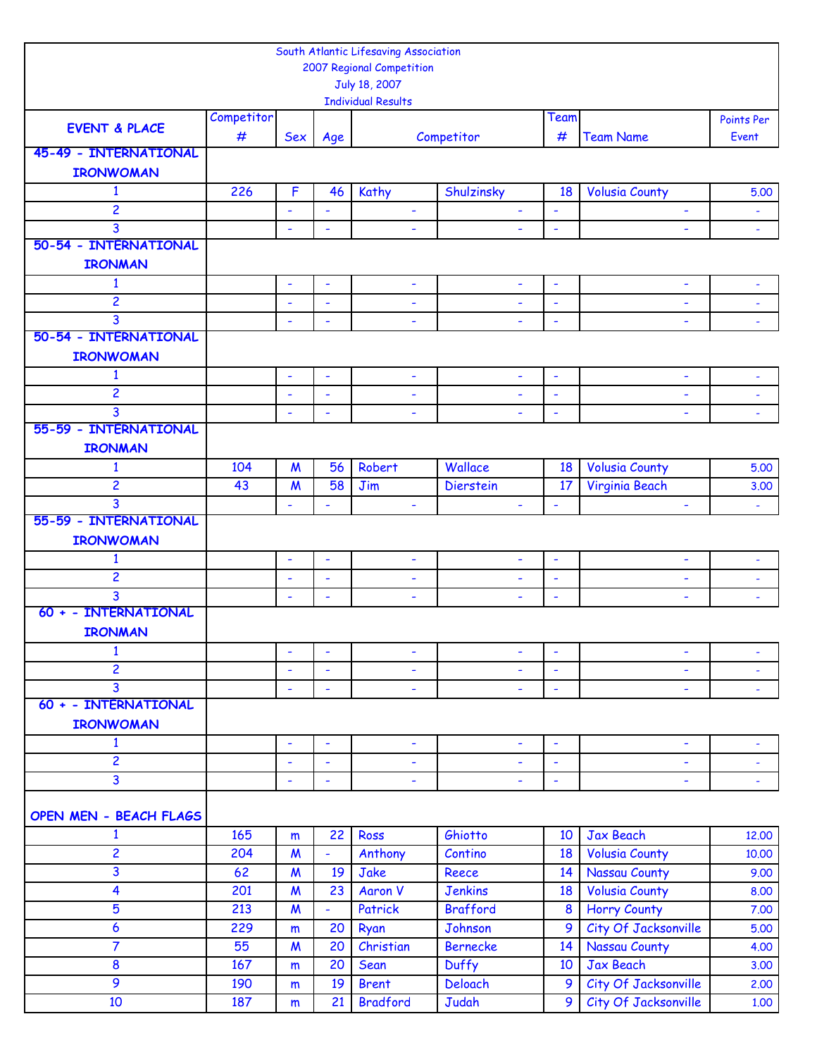|                          |            |                          |                          | South Atlantic Lifesaving Association |                          |                          |                          |                          |
|--------------------------|------------|--------------------------|--------------------------|---------------------------------------|--------------------------|--------------------------|--------------------------|--------------------------|
|                          |            |                          |                          | 2007 Regional Competition             |                          |                          |                          |                          |
|                          |            |                          |                          | July 18, 2007                         |                          |                          |                          |                          |
|                          |            |                          |                          | <b>Individual Results</b>             |                          |                          |                          |                          |
| <b>EVENT &amp; PLACE</b> | Competitor |                          |                          |                                       |                          | Team                     |                          | Points Per               |
|                          | #          | <b>Sex</b>               | Age                      |                                       | Competitor               | #                        | <b>Team Name</b>         | Event                    |
| 45-49 - INTERNATIONAL    |            |                          |                          |                                       |                          |                          |                          |                          |
| <b>IRONWOMAN</b>         |            |                          |                          |                                       |                          |                          |                          |                          |
| $\mathbf{1}$             | 226        | $\mathsf F$              | 46                       | Kathy                                 | Shulzinsky               | 18                       | <b>Volusia County</b>    | 5.00                     |
| $\overline{c}$           |            | ä,                       | ÷,                       | ÷                                     | ÷,                       | ÷                        |                          | $\blacksquare$           |
| 3                        |            | ٠                        | ÷                        | ٠                                     | L,                       | ÷                        | ÷,                       | $\blacksquare$           |
| 50-54 - INTERNATIONAL    |            |                          |                          |                                       |                          |                          |                          |                          |
| <b>IRONMAN</b>           |            |                          |                          |                                       |                          |                          |                          |                          |
| $\mathbf{1}$             |            | L,                       | $\blacksquare$           | ÷                                     | ۰                        | $\overline{\phantom{a}}$ | $\blacksquare$           | ÷,                       |
| 2                        |            | ÷,                       | $\blacksquare$           | $\blacksquare$                        | ÷                        | ÷,                       | $\blacksquare$           | $\blacksquare$           |
| 3                        |            | L,                       | L,                       | ÷                                     | L,                       | $\blacksquare$           | ÷,                       | ä,                       |
| 50-54 - INTERNATIONAL    |            |                          |                          |                                       |                          |                          |                          |                          |
| <b>IRONWOMAN</b>         |            |                          |                          |                                       |                          |                          |                          |                          |
| $\mathbf{1}$             |            | ÷,                       | $\blacksquare$           | ÷,                                    | $\overline{\phantom{a}}$ | $\overline{\phantom{a}}$ | $\blacksquare$           | ÷,                       |
| $\overline{2}$           |            | ä,                       | $\blacksquare$           | ä,                                    | ÷,                       | ä,                       | $\blacksquare$           | $\Box$                   |
| 3                        |            |                          | ÷,                       | ÷                                     | ÷,                       | $\blacksquare$           | ٠                        | $\blacksquare$           |
| 55-59 - INTERNATIONAL    |            |                          |                          |                                       |                          |                          |                          |                          |
| <b>IRONMAN</b>           |            |                          |                          |                                       |                          |                          |                          |                          |
|                          |            |                          |                          |                                       |                          |                          |                          |                          |
| $\mathbf{1}$             | 104        | $\boldsymbol{M}$         | 56                       | Robert                                | Wallace                  | 18                       | <b>Volusia County</b>    | 5.00                     |
| 2                        | 43         | $\boldsymbol{M}$         | 58                       | Jim                                   | <b>Dierstein</b>         | 17                       | Virginia Beach           | 3.00                     |
| 3                        |            | ÷,                       | ÷,                       | ÷,                                    | ÷,                       | ÷,                       | ÷,                       | ÷,                       |
| 55-59 - INTERNATIONAL    |            |                          |                          |                                       |                          |                          |                          |                          |
| <b>IRONWOMAN</b>         |            |                          |                          |                                       |                          |                          |                          |                          |
| $\mathbf{1}$             |            | $\overline{\phantom{a}}$ | $\overline{\phantom{a}}$ | $\overline{\phantom{a}}$              | $\overline{\phantom{a}}$ | ÷,                       | $\blacksquare$           | ÷,                       |
| 2                        |            | ÷,                       | ÷,                       | ÷                                     | ۰                        | $\blacksquare$           | $\overline{\phantom{a}}$ | ÷,                       |
| 3                        |            | ÷                        | ۰                        | ÷                                     |                          | ÷                        | ٠                        |                          |
| 60 + - INTERNATIONAL     |            |                          |                          |                                       |                          |                          |                          |                          |
| <b>IRONMAN</b>           |            |                          |                          |                                       |                          |                          |                          |                          |
| $\mathbf{1}$             |            | ۰                        | ÷                        | ٠                                     | ÷                        | $\overline{\phantom{a}}$ | $\overline{\phantom{a}}$ | $\overline{\phantom{a}}$ |
| 2                        |            | ÷                        | $\blacksquare$           | ۰                                     | ÷                        | $\blacksquare$           | $\overline{\phantom{a}}$ | ÷                        |
| $\overline{3}$           |            | ÷,                       | ä,                       | ۰                                     | ÷,                       | $\blacksquare$           | $\blacksquare$           | $\blacksquare$           |
| 60 + - INTERNATIONAL     |            |                          |                          |                                       |                          |                          |                          |                          |
| <b>IRONWOMAN</b>         |            |                          |                          |                                       |                          |                          |                          |                          |
| $\mathbf{1}$             |            | $\overline{\phantom{a}}$ | $\blacksquare$           | $\blacksquare$                        | ÷                        | $\blacksquare$           | $\blacksquare$           | ٠                        |
| $\overline{\mathbf{c}}$  |            | ÷,                       | L,                       | ÷,                                    | ÷                        | $\blacksquare$           | $\blacksquare$           | ÷                        |
| $\overline{3}$           |            | ÷,                       | $\blacksquare$           | ۰                                     | L,                       | $\blacksquare$           | $\overline{\phantom{a}}$ |                          |
|                          |            |                          |                          |                                       |                          |                          |                          |                          |
| OPEN MEN - BEACH FLAGS   |            |                          |                          |                                       |                          |                          |                          |                          |
| $\mathbf{1}$             | 165        | m                        | 22                       | Ross                                  | Ghiotto                  | 10                       | Jax Beach                | 12,00                    |
| 2                        | 204        | $\boldsymbol{M}$         | ÷,                       | Anthony                               | Contino                  | 18                       | <b>Volusia County</b>    | 10.00                    |
| 3                        | 62         | $\boldsymbol{M}$         | 19                       | Jake                                  | Reece                    | 14                       | <b>Nassau County</b>     | 9.00                     |
| 4                        | 201        | $\boldsymbol{M}$         | 23                       | <b>Aaron V</b>                        | <b>Jenkins</b>           | 18                       | <b>Volusia County</b>    | 8.00                     |
| 5                        | 213        | $\boldsymbol{M}$         |                          | Patrick                               | <b>Brafford</b>          | 8                        | <b>Horry County</b>      | 7.00                     |
|                          |            |                          | ÷,                       |                                       |                          |                          |                          |                          |
| 6                        | 229        | m                        | 20                       | Ryan                                  | Johnson                  | 9                        | City Of Jacksonville     | 5.00                     |
| $\overline{7}$           | 55         | $\boldsymbol{M}$         | 20                       | Christian                             | <b>Bernecke</b>          | 14                       | Nassau County            | 4.00                     |
| 8                        | 167        | m                        | 20                       | Sean                                  | <b>Duffy</b>             | 10                       | Jax Beach                | 3.00                     |
| 9                        | 190        | m                        | 19                       | <b>Brent</b>                          | Deloach                  | 9                        | City Of Jacksonville     | 2.00                     |
| 10                       | 187        | m                        | 21                       | <b>Bradford</b>                       | Judah                    | 9                        | City Of Jacksonville     | 1.00                     |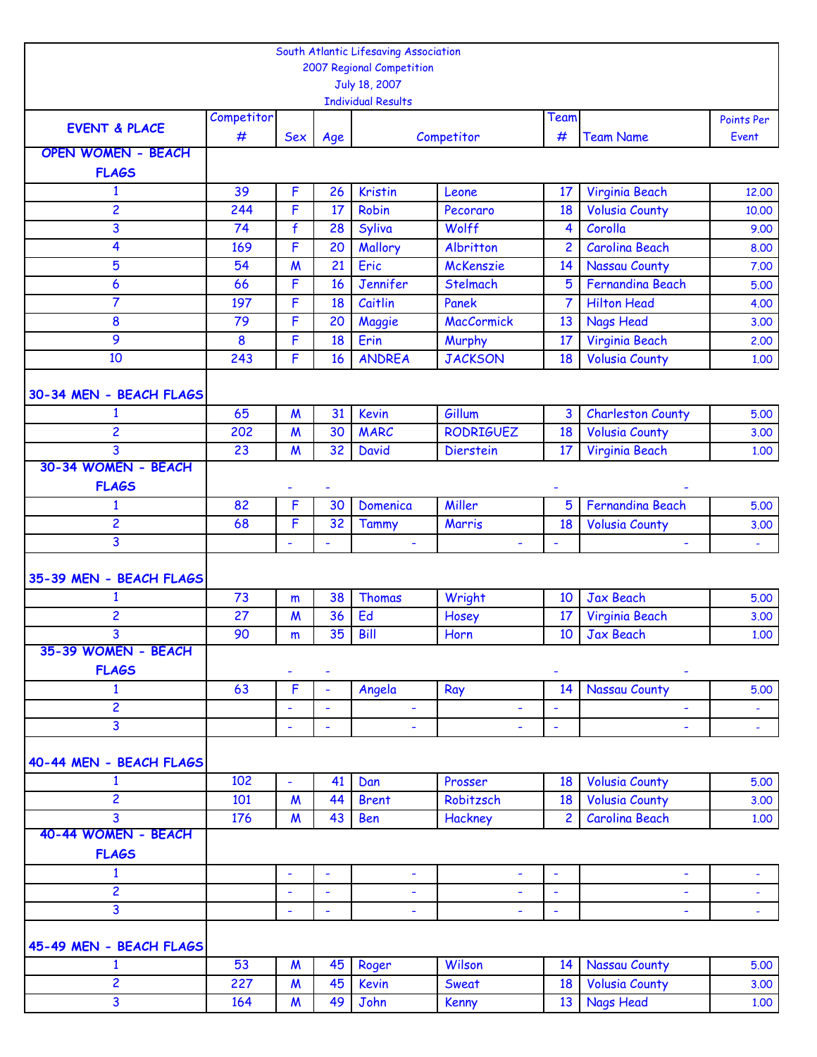|                           |            |                          |          | South Atlantic Lifesaving Association |                   |                               |                                    |                |
|---------------------------|------------|--------------------------|----------|---------------------------------------|-------------------|-------------------------------|------------------------------------|----------------|
|                           |            |                          |          | 2007 Regional Competition             |                   |                               |                                    |                |
|                           |            |                          |          | July 18, 2007                         |                   |                               |                                    |                |
|                           |            |                          |          | <b>Individual Results</b>             |                   |                               |                                    |                |
| <b>EVENT &amp; PLACE</b>  | Competitor |                          |          |                                       |                   | Team                          |                                    | Points Per     |
| <b>OPEN WOMEN - BEACH</b> | #          | <b>Sex</b>               | Age      |                                       | Competitor        | #                             | <b>Team Name</b>                   | Event          |
|                           |            |                          |          |                                       |                   |                               |                                    |                |
| <b>FLAGS</b>              |            |                          |          |                                       |                   |                               |                                    |                |
| 1                         | 39         | $\mathsf F$              | 26       | <b>Kristin</b>                        | Leone             | 17                            | Virginia Beach                     | 12.00          |
| 2                         | 244        | F                        | 17       | Robin                                 | Pecoraro          | 18                            | <b>Volusia County</b>              | 10.00          |
| 3                         | 74         | f                        | 28       | Syliva                                | Wolff             | 4                             | Corolla                            | 9.00           |
| 4                         | 169        | F                        | 20       | Mallory                               | Albritton         | $\overline{c}$                | <b>Carolina Beach</b>              | 8.00           |
| 5                         | 54         | $\boldsymbol{M}$         | 21       | Eric                                  | <b>McKenszie</b>  | 14                            | Nassau County                      | 7.00           |
| 6                         | 66         | F                        | 16       | Jennifer                              | Stelmach          | 5                             | Fernandina Beach                   | 5.00           |
| $\overline{7}$            | 197        | F                        | 18       | Caitlin                               | Panek             | 7                             | <b>Hilton Head</b>                 | 4.00           |
| 8                         | 79         | F                        | 20       | Maggie                                | <b>MacCormick</b> | 13                            | <b>Nags Head</b>                   | 3.00           |
| 9                         | 8          | F                        | 18       | Erin                                  | Murphy            | 17                            | Virginia Beach                     | 2.00           |
| 10                        | 243        | F                        | 16       | <b>ANDREA</b>                         | <b>JACKSON</b>    | 18                            | <b>Volusia County</b>              | 1.00           |
|                           |            |                          |          |                                       |                   |                               |                                    |                |
| 30-34 MEN - BEACH FLAGS   |            |                          |          |                                       |                   |                               |                                    |                |
| 1                         | 65         | $\boldsymbol{M}$         | 31       | <b>Kevin</b>                          | Gillum            | 3                             | <b>Charleston County</b>           | 5.00           |
| 2                         | 202        | $\boldsymbol{M}$         | 30       | <b>MARC</b>                           | <b>RODRIGUEZ</b>  | 18                            | <b>Volusia County</b>              | 3.00           |
| 3<br>30-34 WOMEN - BEACH  | 23         | $\boldsymbol{M}$         | 32       | <b>David</b>                          | <b>Dierstein</b>  | 17                            | Virginia Beach                     | 1.00           |
|                           |            |                          |          |                                       |                   |                               |                                    |                |
| <b>FLAGS</b>              |            | ٠                        |          |                                       |                   |                               |                                    |                |
| $\mathbf{1}$              | 82         | F                        | 30       | Domenica                              | Miller            | 5                             | <b>Fernandina Beach</b>            | 5.00           |
| 2                         | 68         | F                        | 32       | <b>Tammy</b>                          | Marris            | 18                            | <b>Volusia County</b>              | 3.00           |
| 3                         |            | $\overline{\phantom{a}}$ | ÷,       | $\overline{\phantom{0}}$              | ÷,                | ÷                             | $\blacksquare$                     | ÷,             |
|                           |            |                          |          |                                       |                   |                               |                                    |                |
| 35-39 MEN - BEACH FLAGS   |            |                          |          |                                       |                   |                               |                                    |                |
| 1<br>2                    | 73<br>27   | m                        | 38<br>36 | <b>Thomas</b><br>Ed                   | Wright            | 10<br>17                      | <b>Jax Beach</b>                   | 5.00           |
| 3                         | 90         | $\boldsymbol{M}$         | 35       | Bill                                  | Hosey<br>Horn     |                               | Virginia Beach<br><b>Jax Beach</b> | 3.00           |
| 35-39 WOMEN - BEACH       |            | m                        |          |                                       |                   | 10                            |                                    | 1.00           |
| <b>FLAGS</b>              |            |                          |          |                                       |                   |                               |                                    |                |
| $\mathbf{1}$              | 63         | ٠<br>F                   | L,       | Angela                                | Ray               | 14                            | ۰<br><b>Nassau County</b>          | 5.00           |
| $\overline{\mathbf{c}}$   |            | $\overline{\phantom{0}}$ | ÷,       |                                       |                   |                               |                                    |                |
| 3                         |            | ä,                       | L,       | ۰<br>ä,                               | ÷<br>÷,           | ÷<br>$\overline{\phantom{a}}$ | ٠<br>L,                            | $\blacksquare$ |
|                           |            |                          |          |                                       |                   |                               |                                    | $\blacksquare$ |
| 40-44 MEN - BEACH FLAGS   |            |                          |          |                                       |                   |                               |                                    |                |
| 1                         | 102        | ٠                        | 41       | Dan                                   | Prosser           | 18                            | <b>Volusia County</b>              | 5.00           |
| $\overline{c}$            | 101        | $\boldsymbol{M}$         | 44       | <b>Brent</b>                          | Robitzsch         | 18                            | <b>Volusia County</b>              | 3.00           |
| 3                         | 176        | $\boldsymbol{M}$         | 43       | Ben                                   | Hackney           | $\overline{2}$                | <b>Carolina Beach</b>              | 1.00           |
| 40-44 WOMEN - BEACH       |            |                          |          |                                       |                   |                               |                                    |                |
| <b>FLAGS</b>              |            |                          |          |                                       |                   |                               |                                    |                |
| $\mathbf{1}$              |            | ÷,                       | ÷,       | ÷,                                    | ÷                 | $\overline{\phantom{a}}$      | $\blacksquare$                     | ÷,             |
| $\overline{2}$            |            | $\overline{\phantom{0}}$ | ÷,       | ٠                                     | ۰                 | $\overline{\phantom{a}}$      | ÷                                  | ä,             |
| 3                         |            | ÷,                       | ä,       | ۰                                     | ÷,                | $\overline{\phantom{a}}$      | $\blacksquare$                     | $\blacksquare$ |
|                           |            |                          |          |                                       |                   |                               |                                    |                |
| 45-49 MEN - BEACH FLAGS   |            |                          |          |                                       |                   |                               |                                    |                |
| 1                         | 53         | $\boldsymbol{M}$         | 45       | Roger                                 | Wilson            | 14                            | <b>Nassau County</b>               | 5.00           |
| $\overline{2}$            | 227        | $\boldsymbol{M}$         | 45       | Kevin                                 | Sweat             | 18                            | <b>Volusia County</b>              | 3.00           |
| $\overline{\mathbf{3}}$   | 164        | $\boldsymbol{M}$         | 49       | John                                  | <b>Kenny</b>      | 13 <sup>°</sup>               | Nags Head                          | 1.00           |
|                           |            |                          |          |                                       |                   |                               |                                    |                |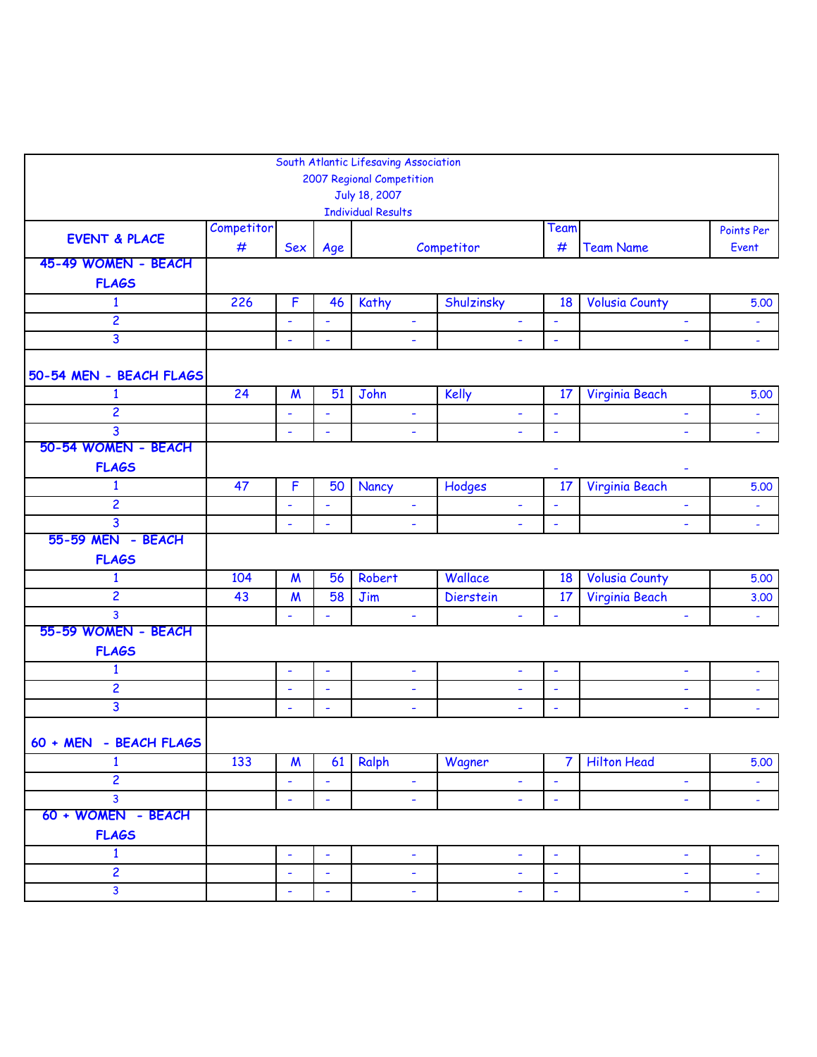|                                     |            |                          |                          | South Atlantic Lifesaving Association<br>2007 Regional Competition |                |                          |                          |                          |
|-------------------------------------|------------|--------------------------|--------------------------|--------------------------------------------------------------------|----------------|--------------------------|--------------------------|--------------------------|
|                                     |            |                          |                          | July 18, 2007<br><b>Individual Results</b>                         |                |                          |                          |                          |
| <b>EVENT &amp; PLACE</b>            | Competitor |                          |                          |                                                                    |                | Team                     |                          | Points Per               |
| 45-49 WOMEN - BEACH                 | #          | <b>Sex</b>               | Age                      |                                                                    | Competitor     | #                        | <b>Team Name</b>         | Event                    |
| <b>FLAGS</b>                        |            |                          |                          |                                                                    |                |                          |                          |                          |
| $\mathbf{1}$                        | 226        | $\mathsf F$              | 46                       | Kathy                                                              | Shulzinsky     | 18                       | <b>Volusia County</b>    | 5.00                     |
| $\overline{2}$                      |            | $\blacksquare$           | $\blacksquare$           | Ξ                                                                  | $\blacksquare$ | $\overline{\phantom{a}}$ | ٠                        | $\omega$                 |
| 3                                   |            | L,                       | ٠                        | ۰                                                                  |                | ÷                        |                          | $\blacksquare$           |
| 50-54 MEN - BEACH FLAGS             |            |                          |                          |                                                                    |                |                          |                          |                          |
| $\mathbf{1}$                        | 24         | $\boldsymbol{M}$         | 51                       | John                                                               | Kelly          | 17                       | Virginia Beach           | 5.00                     |
| $\overline{c}$                      |            | $\overline{\phantom{a}}$ | $\blacksquare$           | $\blacksquare$                                                     | $\blacksquare$ | $\blacksquare$           | $\blacksquare$           | $\blacksquare$           |
| 3                                   |            | ÷                        | $\blacksquare$           | $\blacksquare$                                                     | ÷.             | $\overline{\phantom{a}}$ | $\overline{\phantom{0}}$ | ÷,                       |
| 50-54 WOMEN - BEACH<br><b>FLAGS</b> |            |                          |                          |                                                                    |                |                          | ۰                        |                          |
| $\mathbf{1}$                        | 47         | F                        | 50                       | Nancy                                                              | Hodges         | 17                       | Virginia Beach           | 5.00                     |
| $\overline{c}$                      |            | ۰                        | ÷,                       | ٠                                                                  | ٠              | $\blacksquare$           | ÷,                       | $\blacksquare$           |
| 3                                   |            | ÷                        | ۰                        | ٠                                                                  |                | ÷                        |                          | $\blacksquare$           |
| 55-59 MEN - BEACH<br><b>FLAGS</b>   |            |                          |                          |                                                                    |                |                          |                          |                          |
| $\mathbf{1}$                        | 104        | $\boldsymbol{M}$         | 56                       | Robert                                                             | Wallace        | 18                       | <b>Volusia County</b>    | 5.00                     |
| 2                                   | 43         | $\boldsymbol{M}$         | 58                       | Jim                                                                | Dierstein      | 17                       | Virginia Beach           | 3.00                     |
| 3                                   |            | ÷                        | ÷,                       | Ξ                                                                  | $\blacksquare$ | $\blacksquare$           | ÷,                       | $\blacksquare$           |
| 55-59 WOMEN - BEACH<br><b>FLAGS</b> |            |                          |                          |                                                                    |                |                          |                          |                          |
| $\mathbf{1}$                        |            | $\overline{\phantom{a}}$ | $\blacksquare$           | $\overline{\phantom{a}}$                                           | $\blacksquare$ | $\blacksquare$           | $\overline{\phantom{a}}$ | $\overline{\phantom{a}}$ |
| 2                                   |            | $\overline{\phantom{a}}$ | $\overline{\phantom{a}}$ | $\blacksquare$                                                     | ÷              | $\blacksquare$           | ٠                        | $\blacksquare$           |
| 3                                   |            | ۰                        | $\overline{\phantom{a}}$ | ۰                                                                  | ÷,             | $\overline{\phantom{a}}$ | ÷,                       | ä,                       |
| 60 + MEN - BEACH FLAGS              |            |                          |                          |                                                                    |                |                          |                          |                          |
| $\mathbf{1}$                        | 133        | $\boldsymbol{M}$         | 61                       | Ralph                                                              | Wagner         | 7                        | <b>Hilton Head</b>       | 5.00                     |
| 2                                   |            | $\overline{\phantom{a}}$ | $\blacksquare$           | $\overline{\phantom{a}}$                                           | $\blacksquare$ | $\blacksquare$           | ٠                        | ÷                        |
| $\overline{\mathbf{3}}$             |            | ÷,                       | $\blacksquare$           | ÷,                                                                 | $\blacksquare$ | $\overline{\phantom{a}}$ | ÷,                       | ÷.                       |
| 60 + WOMEN - BEACH<br><b>FLAGS</b>  |            |                          |                          |                                                                    |                |                          |                          |                          |
| $\mathbf{1}$                        |            | $\blacksquare$           | $\blacksquare$           | $\blacksquare$                                                     | $\blacksquare$ | $\blacksquare$           | $\blacksquare$           | $\blacksquare$           |
| $\overline{2}$                      |            | $\overline{\phantom{a}}$ | $\overline{\phantom{a}}$ | ۰                                                                  | $\blacksquare$ | $\blacksquare$           | ٠                        | $\blacksquare$           |
| 3                                   |            | $\overline{\phantom{a}}$ | $\blacksquare$           | ۰                                                                  | $\blacksquare$ | $\blacksquare$           | $\overline{\phantom{a}}$ | ÷,                       |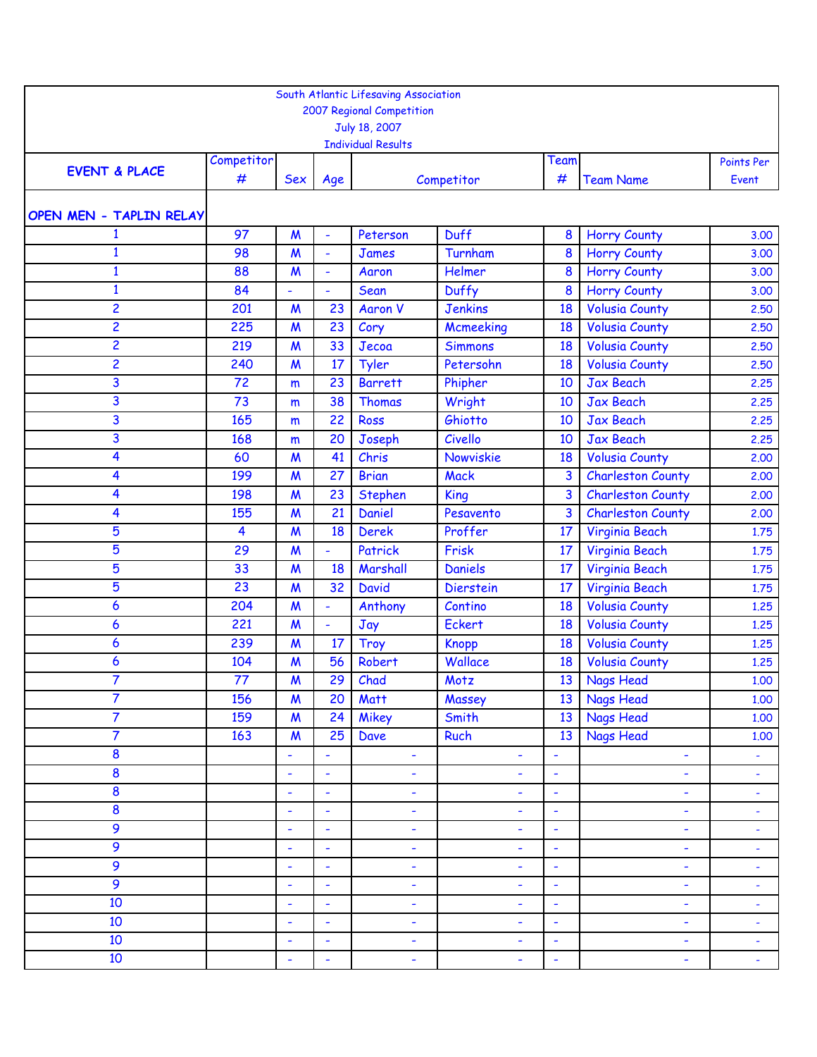|                          |                 |                           |                 | South Atlantic Lifesaving Association<br>2007 Regional Competition<br>July 18, 2007<br><b>Individual Results</b> |                  |                  |                          |                     |
|--------------------------|-----------------|---------------------------|-----------------|------------------------------------------------------------------------------------------------------------------|------------------|------------------|--------------------------|---------------------|
| <b>EVENT &amp; PLACE</b> | Competitor<br># | Sex                       | Age             |                                                                                                                  | Competitor       | Team<br>#        | <b>Team Name</b>         | Points Per<br>Event |
| OPEN MEN - TAPLIN RELAY  |                 |                           |                 |                                                                                                                  |                  |                  |                          |                     |
| 1                        | 97              | $\boldsymbol{M}$          | ÷               | Peterson                                                                                                         | <b>Duff</b>      | 8                | <b>Horry County</b>      | 3.00                |
| $\mathbf{1}$             | 98              | $\boldsymbol{M}$          | $\blacksquare$  | <b>James</b>                                                                                                     | Turnham          | 8                | <b>Horry County</b>      | 3.00                |
| $\mathbf{1}$             | 88              | $\boldsymbol{M}$          | $\blacksquare$  | Aaron                                                                                                            | Helmer           | $\boldsymbol{8}$ | <b>Horry County</b>      | 3.00                |
| $\mathbf{1}$             | 84              | $\blacksquare$            | $\blacksquare$  | Sean                                                                                                             | Duffy            | 8                | <b>Horry County</b>      | 3.00                |
| 2                        | 201             | $\boldsymbol{M}$          | 23              | <b>Aaron V</b>                                                                                                   | <b>Jenkins</b>   | 18               | <b>Volusia County</b>    | 2.50                |
| $\overline{2}$           | 225             | $\boldsymbol{M}$          | 23              | Cory                                                                                                             | <b>Mcmeeking</b> | 18               | <b>Volusia County</b>    | 2.50                |
| 2                        | 219             | $\boldsymbol{M}$          | 33              | Jecoa                                                                                                            | <b>Simmons</b>   | 18               | <b>Volusia County</b>    | 2,50                |
| 2                        | 240             | $\boldsymbol{M}$          | 17              | Tyler                                                                                                            | Petersohn        | 18               | <b>Volusia County</b>    | 2,50                |
| 3                        | 72              | m                         | 23              | <b>Barrett</b>                                                                                                   | Phipher          | 10               | <b>Jax Beach</b>         | 2.25                |
| 3                        | 73              | m                         | 38              | <b>Thomas</b>                                                                                                    | Wright           | 10               | <b>Jax Beach</b>         | 2.25                |
| 3                        | 165             | m                         | 22              | Ross                                                                                                             | Ghiotto          | 10               | <b>Jax Beach</b>         | 2.25                |
| 3                        | 168             | m                         | 20              | Joseph                                                                                                           | Civello          | 10               | <b>Jax Beach</b>         | 2.25                |
| 4                        | 60              | $\boldsymbol{M}$          | 41              | Chris                                                                                                            | Nowviskie        | 18               | <b>Volusia County</b>    | 2.00                |
| 4                        | 199             | $\boldsymbol{M}$          | 27              | <b>Brian</b>                                                                                                     | <b>Mack</b>      | 3                | <b>Charleston County</b> | 2.00                |
| 4                        | 198             | $\boldsymbol{M}$          | 23              | <b>Stephen</b>                                                                                                   | King             | 3                | <b>Charleston County</b> | 2.00                |
| 4                        | 155             | M                         | 21              | Daniel                                                                                                           | Pesavento        | 3                | <b>Charleston County</b> | 2,00                |
| 5                        | 4               | $\boldsymbol{M}$          | 18              | <b>Derek</b>                                                                                                     | Proffer          | 17               | Virginia Beach           | 1.75                |
| 5                        | 29              | $\boldsymbol{M}$          | ÷,              | Patrick                                                                                                          | Frisk            | 17               | Virginia Beach           | 1.75                |
| 5                        | 33              | $\boldsymbol{M}$          | 18              | Marshall                                                                                                         | <b>Daniels</b>   | 17               | Virginia Beach           | 1.75                |
| 5                        | 23              | $\boldsymbol{M}$          | 32              | <b>David</b>                                                                                                     | <b>Dierstein</b> | 17               | Virginia Beach           | 1.75                |
| 6                        | 204             | $\boldsymbol{M}$          | ÷,              | Anthony                                                                                                          | Contino          | 18               | <b>Volusia County</b>    | 1.25                |
| 6                        | 221             | $\boldsymbol{M}$          | $\blacksquare$  | Jay                                                                                                              | Eckert           | 18               | <b>Volusia County</b>    | 1.25                |
| 6                        | 239             | $\boldsymbol{M}$          | 17              | <b>Troy</b>                                                                                                      | <b>Knopp</b>     | 18               | <b>Volusia County</b>    | 1.25                |
| 6                        | 104             | $\boldsymbol{M}$          | 56              | Robert                                                                                                           | Wallace          | 18               | <b>Volusia County</b>    | 1,25                |
| $\overline{7}$           | 77              | $\boldsymbol{\mathsf{M}}$ | 29 <sup>°</sup> | Chad                                                                                                             | Motz             |                  | 13 Nags Head             | 1.00                |
| $\overline{7}$           | 156             | $\boldsymbol{M}$          | 20              | <b>Matt</b>                                                                                                      | Massey           | 13 <sup>°</sup>  | Nags Head                | 1.00                |
| 7                        | 159             | $\boldsymbol{M}$          | 24              | Mikey                                                                                                            | Smith            | 13 <sup>13</sup> | <b>Nags Head</b>         | 1.00                |
| 7                        | 163             | $\boldsymbol{M}$          | 25              | Dave                                                                                                             | Ruch             | 13               | Nags Head                | 1.00                |
| $\bf{8}$                 |                 | $\blacksquare$            | ۰               | ٠                                                                                                                | ۰                | $\blacksquare$   | ٠                        | ÷                   |
| 8                        |                 | $\blacksquare$            | $\blacksquare$  | $\blacksquare$                                                                                                   | ÷                | $\sim$           | $\blacksquare$           | ÷.                  |
| 8                        |                 | ä,                        | ä,              | $\blacksquare$                                                                                                   | ÷,               | $\omega$         | $\blacksquare$           | ÷                   |
| $\bf{8}$                 |                 | ۰                         | ٠               | ٠                                                                                                                | ۰                | $\blacksquare$   | ۰                        | ۳                   |
| 9                        |                 | $\blacksquare$            | $\blacksquare$  | ٠                                                                                                                | ۰                | $\sim$           | ٠                        | $\blacksquare$      |
| 9                        |                 | $\blacksquare$            | $\blacksquare$  | $\blacksquare$                                                                                                   | ٠                | $\blacksquare$   | ٠                        | ÷                   |
| 9                        |                 | ÷,                        | $\blacksquare$  | ٠                                                                                                                | ۰                | $\blacksquare$   | ÷,                       | ۰                   |
| 9                        |                 | $\blacksquare$            | $\blacksquare$  | ٠                                                                                                                | ۰                | $\sim$           | ٠                        | $\blacksquare$      |
| 10                       |                 | $\blacksquare$            | $\blacksquare$  | ٠                                                                                                                | ٠                | $\blacksquare$   | $\blacksquare$           | $\blacksquare$      |
| 10                       |                 | $\blacksquare$            | $\blacksquare$  | ٠                                                                                                                | ۰                | $\blacksquare$   | ٠                        | ÷                   |
| 10                       |                 | $\blacksquare$            | $\blacksquare$  | ٠                                                                                                                | ۰                | $\sim$           | ٠                        | ٠                   |
| 10                       |                 | $\blacksquare$            | $\blacksquare$  | ٠                                                                                                                | ۰                | $\blacksquare$   | $\blacksquare$           | ÷                   |